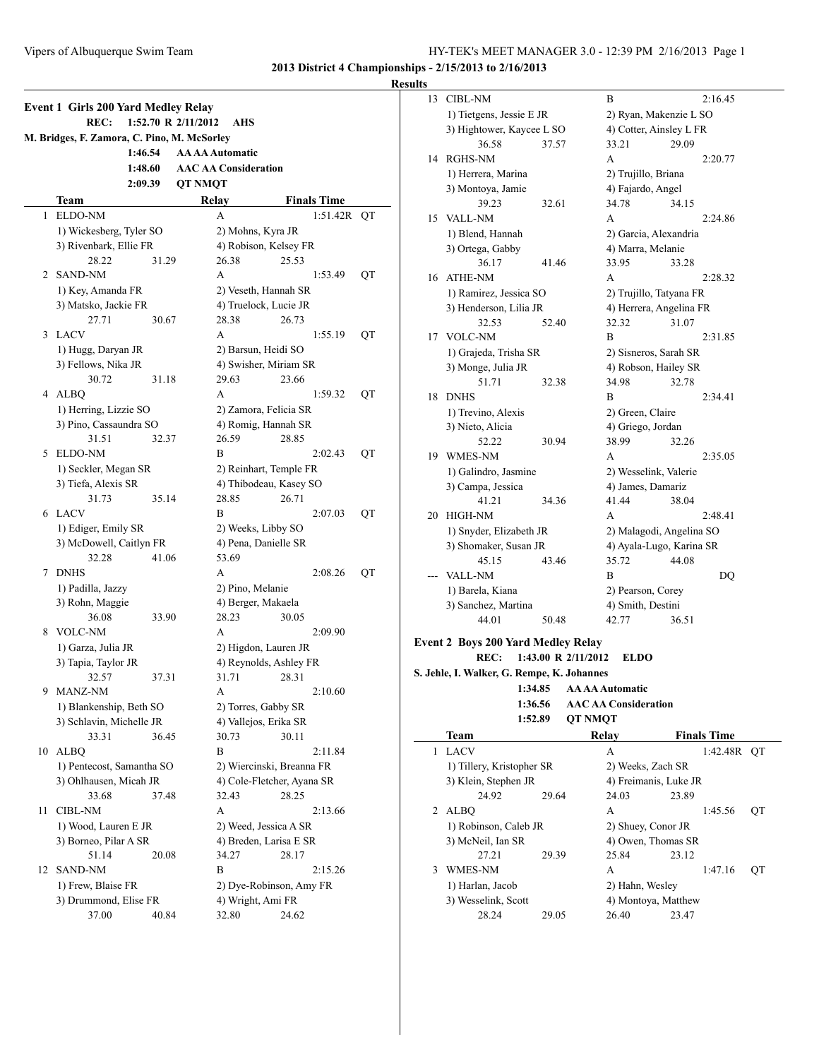|    | M. Bridges, F. Zamora, C. Pino, M. McSorley |         |                             |                            |    |
|----|---------------------------------------------|---------|-----------------------------|----------------------------|----|
|    |                                             | 1:46.54 | <b>AA AA Automatic</b>      |                            |    |
|    |                                             | 1:48.60 | <b>AAC AA Consideration</b> |                            |    |
|    |                                             | 2:09.39 | <b>OT NMOT</b>              |                            |    |
|    | Team                                        |         | Relay                       | <b>Finals Time</b>         |    |
| 1  | ELDO-NM                                     |         | A                           | 1:51.42R                   | QT |
|    | 1) Wickesberg, Tyler SO                     |         |                             | 2) Mohns, Kyra JR          |    |
|    | 3) Rivenbark, Ellie FR                      |         |                             | 4) Robison, Kelsey FR      |    |
|    | 28.22                                       | 31.29   | 26.38                       | 25.53                      |    |
| 2  | SAND-NM                                     |         | А                           | 1:53.49                    | QT |
|    | 1) Key, Amanda FR                           |         |                             | 2) Veseth, Hannah SR       |    |
|    | 3) Matsko, Jackie FR                        |         |                             | 4) Truelock, Lucie JR      |    |
|    | 27.71                                       | 30.67   | 28.38                       | 26.73                      |    |
| 3  | <b>LACV</b>                                 |         | A                           | 1:55.19                    | QT |
|    | 1) Hugg, Daryan JR                          |         |                             | 2) Barsun, Heidi SO        |    |
|    | 3) Fellows, Nika JR                         |         |                             | 4) Swisher, Miriam SR      |    |
|    | 30.72                                       | 31.18   | 29.63                       | 23.66                      |    |
|    | 4 ALBQ                                      |         | A                           | 1:59.32                    | QT |
|    | 1) Herring, Lizzie SO                       |         |                             | 2) Zamora, Felicia SR      |    |
|    | 3) Pino, Cassaundra SO                      |         |                             | 4) Romig, Hannah SR        |    |
|    | 31.51                                       | 32.37   | 26.59                       | 28.85                      |    |
| 5  | <b>ELDO-NM</b>                              |         | B                           | 2:02.43                    | QT |
|    | 1) Seckler, Megan SR                        |         |                             | 2) Reinhart, Temple FR     |    |
|    | 3) Tiefa, Alexis SR                         |         |                             | 4) Thibodeau, Kasey SO     |    |
|    | 31.73                                       | 35.14   | 28.85                       | 26.71                      |    |
| 6  | LACV                                        |         | В                           | 2:07.03                    | QT |
|    | 1) Ediger, Emily SR                         |         |                             | 2) Weeks, Libby SO         |    |
|    | 3) McDowell, Caitlyn FR                     |         |                             | 4) Pena, Danielle SR       |    |
|    | 32.28                                       | 41.06   | 53.69                       |                            |    |
| 7  | <b>DNHS</b>                                 |         | А                           | 2:08.26                    | QT |
|    | 1) Padilla, Jazzy                           |         |                             | 2) Pino, Melanie           |    |
|    | 3) Rohn, Maggie                             |         |                             | 4) Berger, Makaela         |    |
|    | 36.08                                       | 33.90   | 28.23                       | 30.05                      |    |
| 8  | <b>VOLC-NM</b>                              |         | A                           | 2:09.90                    |    |
|    | 1) Garza, Julia JR                          |         |                             | 2) Higdon, Lauren JR       |    |
|    | 3) Tapia, Taylor JR                         |         |                             | 4) Reynolds, Ashley FR     |    |
|    | 32.57                                       | 37.31   | 31.71                       | 28.31                      |    |
| 9  | MANZ-NM                                     |         | А                           | 2:10.60                    |    |
|    | 1) Blankenship, Beth SO                     |         |                             | 2) Torres, Gabby SR        |    |
|    | 3) Schlavin, Michelle JR                    |         |                             | 4) Vallejos, Erika SR      |    |
|    | 33.31                                       | 36.45   | 30.73                       | 30.11                      |    |
| 10 | <b>ALBQ</b>                                 |         | B                           | 2:11.84                    |    |
|    | 1) Pentecost, Samantha SO                   |         |                             | 2) Wiercinski, Breanna FR  |    |
|    | 3) Ohlhausen, Micah JR                      |         |                             | 4) Cole-Fletcher, Ayana SR |    |
|    | 33.68                                       | 37.48   | 32.43                       | 28.25                      |    |
| 11 | <b>CIBL-NM</b>                              |         | A                           | 2:13.66                    |    |
|    | 1) Wood, Lauren E JR                        |         |                             | 2) Weed, Jessica A SR      |    |
|    | 3) Borneo, Pilar A SR                       |         |                             | 4) Breden, Larisa E SR     |    |
|    | 51.14                                       | 20.08   | 34.27                       | 28.17                      |    |
| 12 | SAND-NM                                     |         | В                           | 2:15.26                    |    |
|    |                                             |         |                             | 2) Dye-Robinson, Amy FR    |    |
|    |                                             |         |                             |                            |    |
|    | 1) Frew, Blaise FR<br>3) Drummond, Elise FR |         |                             | 4) Wright, Ami FR          |    |

| 13 | <b>CIBL-NM</b>            |                                             | B                        |       | 2:16.45 |
|----|---------------------------|---------------------------------------------|--------------------------|-------|---------|
|    | 1) Tietgens, Jessie E JR  |                                             | 2) Ryan, Makenzie L SO   |       |         |
|    | 3) Hightower, Kaycee L SO |                                             | 4) Cotter, Ainsley L FR  |       |         |
|    | 36.58                     | 37.57                                       | 33.21                    | 29.09 |         |
| 14 | <b>RGHS-NM</b>            |                                             | A                        |       | 2:20.77 |
|    | 1) Herrera, Marina        |                                             | 2) Trujillo, Briana      |       |         |
|    | 3) Montoya, Jamie         |                                             | 4) Fajardo, Angel        |       |         |
|    | 39.23                     | 32.61                                       | 34.78                    | 34.15 |         |
| 15 | <b>VALL-NM</b>            |                                             | A                        |       | 2:24.86 |
|    | 1) Blend, Hannah          |                                             | 2) Garcia, Alexandria    |       |         |
|    | 3) Ortega, Gabby          |                                             | 4) Marra, Melanie        |       |         |
|    | 36.17                     | 41.46                                       | 33.95                    | 33.28 |         |
| 16 | <b>ATHE-NM</b>            |                                             | A                        |       | 2:28.32 |
|    | 1) Ramirez, Jessica SO    |                                             | 2) Trujillo, Tatyana FR  |       |         |
|    | 3) Henderson, Lilia JR    |                                             | 4) Herrera, Angelina FR  |       |         |
|    | 32.53                     | 52.40                                       | 32.32                    | 31.07 |         |
| 17 | <b>VOLC-NM</b>            |                                             | R                        |       | 2:31.85 |
|    | 1) Grajeda, Trisha SR     |                                             | 2) Sisneros, Sarah SR    |       |         |
|    | 3) Monge, Julia JR        |                                             | 4) Robson, Hailey SR     |       |         |
|    | 51.71                     | 32.38                                       | 34.98                    | 32.78 |         |
| 18 | <b>DNHS</b>               |                                             | B                        |       | 2:34.41 |
|    | 1) Trevino, Alexis        |                                             | 2) Green, Claire         |       |         |
|    | 3) Nieto, Alicia          |                                             | 4) Griego, Jordan        |       |         |
|    | 52.22                     | 30.94                                       | 38.99                    | 32.26 |         |
| 19 | <b>WMES-NM</b>            |                                             | A                        |       | 2:35.05 |
|    | 1) Galindro, Jasmine      |                                             | 2) Wesselink, Valerie    |       |         |
|    | 3) Campa, Jessica         |                                             | 4) James, Damariz        |       |         |
|    | 41.21                     | 34.36                                       | 41.44                    | 38.04 |         |
| 20 | <b>HIGH-NM</b>            |                                             | A                        |       | 2:48.41 |
|    | 1) Snyder, Elizabeth JR   |                                             | 2) Malagodi, Angelina SO |       |         |
|    | 3) Shomaker, Susan JR     |                                             | 4) Ayala-Lugo, Karina SR |       |         |
|    | 45.15                     | 43.46                                       | 35.72                    | 44.08 |         |
|    | VALL-NM                   |                                             | B                        |       | DQ      |
|    | 1) Barela, Kiana          |                                             | 2) Pearson, Corey        |       |         |
|    | 3) Sanchez, Martina       |                                             | 4) Smith, Destini        |       |         |
|    | 44.01                     | 50.48                                       | 42.77                    | 36.51 |         |
|    |                           | $200 \text{ V}$ $1 \text{ M}$ $1 \text{ N}$ |                          |       |         |

#### **Event 2 Boys 200 Yard Medley Relay REC: 1:43.00 R 2/11/2012 ELDO**

**S. Jehle, I. Walker, G. Rempe, K. Johannes**

- **1:34.85 AA AA Automatic**
	- **1:36.56 AAC AA Consideration 1:52.89 QT NMQT**

|             | Team                      |       | Relav                 | <b>Finals Time</b> |    |
|-------------|---------------------------|-------|-----------------------|--------------------|----|
|             | <b>LACV</b>               |       | A                     | 1:42.48R OT        |    |
|             | 1) Tillery, Kristopher SR |       | 2) Weeks, Zach SR     |                    |    |
|             | 3) Klein, Stephen JR      |       | 4) Freimanis, Luke JR |                    |    |
|             | 24.92                     | 29.64 | 24.03                 | 23.89              |    |
| $2^{\circ}$ | ALBO                      |       | A                     | 1:45.56            | OТ |
|             | 1) Robinson, Caleb JR     |       | 2) Shuey, Conor JR    |                    |    |
|             | 3) McNeil, Ian SR         |       | 4) Owen, Thomas SR    |                    |    |
|             | 27.21                     | 29.39 | 25.84                 | 23.12              |    |
| 3           | <b>WMES-NM</b>            |       | A                     | 1:47.16            | OТ |
|             | 1) Harlan, Jacob          |       | 2) Hahn, Wesley       |                    |    |
|             | 3) Wesselink, Scott       |       | 4) Montoya, Matthew   |                    |    |
|             | 28.24                     | 29.05 | 26.40                 | 23.47              |    |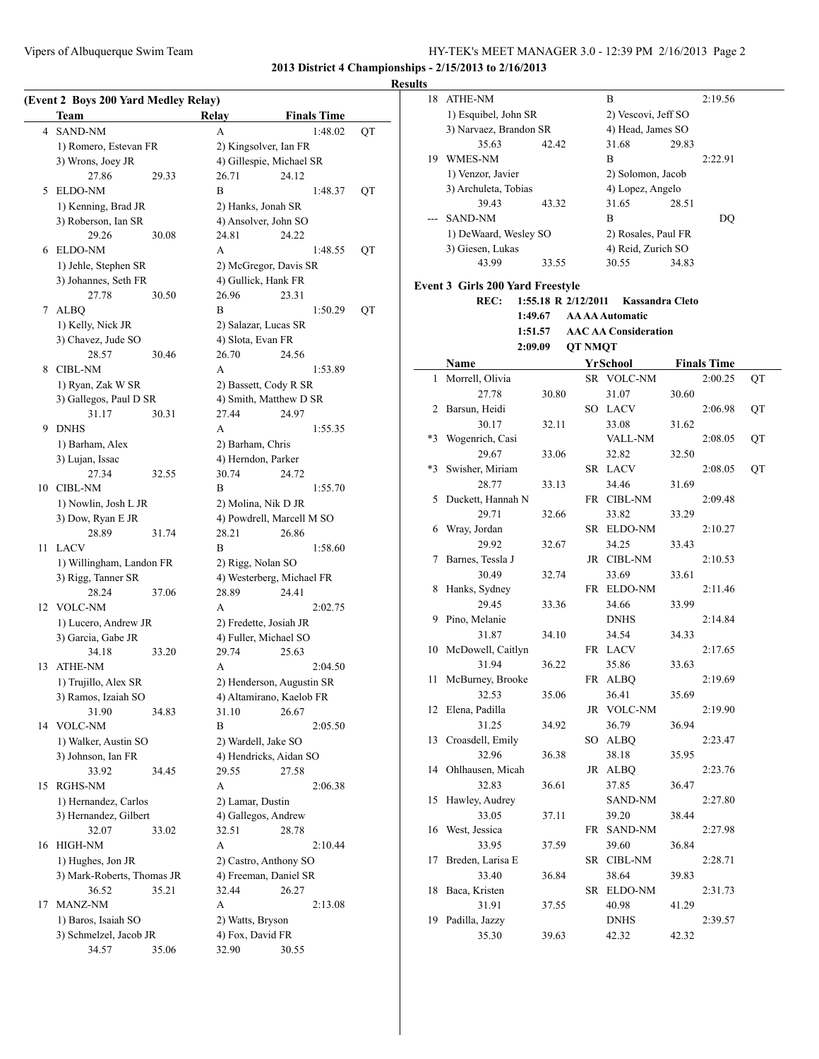### **Results**

|    | (Event 2 Boys 200 Yard Medley Relay)<br>Team  |       | Relay                                | <b>Finals Time</b>                               |    |
|----|-----------------------------------------------|-------|--------------------------------------|--------------------------------------------------|----|
| 4  | <b>SAND-NM</b>                                |       | А                                    | 1:48.02                                          | QT |
|    | 1) Romero, Estevan FR                         |       |                                      | 2) Kingsolver, Ian FR                            |    |
|    | 3) Wrons, Joey JR                             |       |                                      | 4) Gillespie, Michael SR                         |    |
|    | 27.86                                         | 29.33 | 26.71                                | 24.12                                            |    |
| 5  | ELDO-NM                                       |       | B                                    | 1:48.37                                          | QT |
|    | 1) Kenning, Brad JR                           |       |                                      | 2) Hanks, Jonah SR                               |    |
|    | 3) Roberson, Ian SR                           |       |                                      | 4) Ansolver, John SO                             |    |
|    | 29.26                                         | 30.08 | 24.81                                | 24.22                                            |    |
| 6  | <b>ELDO-NM</b>                                |       | A                                    | 1:48.55                                          | QT |
|    | 1) Jehle, Stephen SR                          |       |                                      | 2) McGregor, Davis SR                            |    |
|    | 3) Johannes, Seth FR                          |       |                                      | 4) Gullick, Hank FR                              |    |
|    | 27.78                                         | 30.50 | 26.96                                | 23.31                                            |    |
| 7  | <b>ALBQ</b>                                   |       | B                                    | 1:50.29                                          | QT |
|    | 1) Kelly, Nick JR                             |       |                                      | 2) Salazar, Lucas SR                             |    |
|    | 3) Chavez, Jude SO                            |       | 4) Slota, Evan FR                    |                                                  |    |
|    | 28.57                                         | 30.46 | 26.70                                | 24.56                                            |    |
| 8  | <b>CIBL-NM</b>                                |       | A                                    | 1:53.89                                          |    |
|    | 1) Ryan, Zak W SR                             |       |                                      | 2) Bassett, Cody R SR                            |    |
|    | 3) Gallegos, Paul D SR                        |       |                                      | 4) Smith, Matthew D SR                           |    |
|    | 31.17                                         | 30.31 | 27.44                                | 24.97                                            |    |
| 9  | <b>DNHS</b>                                   |       | A                                    | 1:55.35                                          |    |
|    | 1) Barham, Alex                               |       | 2) Barham, Chris                     |                                                  |    |
|    | 3) Lujan, Issac                               |       |                                      | 4) Herndon, Parker                               |    |
|    | 27.34                                         | 32.55 | 30.74                                | 24.72                                            |    |
| 10 | CIBL-NM                                       |       | B                                    | 1:55.70                                          |    |
|    | 1) Nowlin, Josh L JR<br>3) Dow, Ryan E JR     |       |                                      | 2) Molina, Nik D JR<br>4) Powdrell, Marcell M SO |    |
|    | 28.89                                         | 31.74 | 28.21                                | 26.86                                            |    |
| 11 | <b>LACV</b>                                   |       | В                                    | 1:58.60                                          |    |
|    | 1) Willingham, Landon FR                      |       |                                      | 2) Rigg, Nolan SO                                |    |
|    | 3) Rigg, Tanner SR                            |       |                                      | 4) Westerberg, Michael FR                        |    |
|    | 28.24                                         | 37.06 | 28.89                                | 24.41                                            |    |
| 12 | <b>VOLC-NM</b>                                |       | A                                    | 2:02.75                                          |    |
|    | 1) Lucero, Andrew JR                          |       |                                      | 2) Fredette, Josiah JR                           |    |
|    | 3) Garcia, Gabe JR                            |       |                                      | 4) Fuller, Michael SO                            |    |
|    | 34.18                                         | 33.20 | 29.74                                | 25.63                                            |    |
| 13 | <b>ATHE-NM</b>                                |       | А                                    | 2:04.50                                          |    |
|    | 1) Trujillo, Alex SR                          |       |                                      | 2) Henderson, Augustin SR                        |    |
|    | 3) Ramos, Izaiah SO                           |       |                                      | 4) Altamirano, Kaelob FR                         |    |
|    | 31.90                                         | 34.83 | 31.10                                | 26.67                                            |    |
|    | 14 VOLC-NM                                    |       | B                                    | 2:05.50                                          |    |
|    | 1) Walker, Austin SO                          |       |                                      | 2) Wardell, Jake SO                              |    |
|    | 3) Johnson, Ian FR                            |       |                                      | 4) Hendricks, Aidan SO                           |    |
|    | 33.92                                         | 34.45 | 29.55                                | 27.58                                            |    |
| 15 | RGHS-NM                                       |       | A                                    | 2:06.38                                          |    |
|    | 1) Hernandez, Carlos                          |       | 2) Lamar, Dustin                     |                                                  |    |
|    | 3) Hernandez, Gilbert                         |       |                                      | 4) Gallegos, Andrew                              |    |
|    | 32.07                                         | 33.02 | 32.51                                | 28.78                                            |    |
| 16 | <b>HIGH-NM</b>                                |       | A                                    | 2:10.44                                          |    |
|    | 1) Hughes, Jon JR                             |       |                                      | 2) Castro, Anthony SO                            |    |
|    | 3) Mark-Roberts, Thomas JR                    |       |                                      | 4) Freeman, Daniel SR                            |    |
| 17 | 36.52<br>MANZ-NM                              | 35.21 | 32.44<br>А                           | 26.27                                            |    |
|    |                                               |       |                                      | 2:13.08                                          |    |
|    | 1) Baros, Isaiah SO<br>3) Schmelzel, Jacob JR |       | 2) Watts, Bryson<br>4) Fox, David FR |                                                  |    |
|    | 34.57                                         | 35.06 | 32.90                                | 30.55                                            |    |
|    |                                               |       |                                      |                                                  |    |

| 18   | ATHE-NM                                 |                       |                | B                           |       | 2:19.56            |    |
|------|-----------------------------------------|-----------------------|----------------|-----------------------------|-------|--------------------|----|
|      | 1) Esquibel, John SR                    |                       |                | 2) Vescovi, Jeff SO         |       |                    |    |
|      | 3) Narvaez, Brandon SR                  |                       |                | 4) Head, James SO           |       |                    |    |
|      | 35.63                                   | 42.42                 |                | 31.68                       | 29.83 |                    |    |
| 19   | WMES-NM                                 |                       |                | B                           |       | 2:22.91            |    |
|      | 1) Venzor, Javier                       |                       |                | 2) Solomon, Jacob           |       |                    |    |
|      | 3) Archuleta, Tobias                    |                       |                | 4) Lopez, Angelo            |       |                    |    |
|      | 39.43                                   | 43.32                 |                | 31.65                       | 28.51 |                    |    |
| ---  | <b>SAND-NM</b>                          |                       |                | B                           |       | DQ                 |    |
|      | 1) DeWaard, Wesley SO                   |                       |                | 2) Rosales, Paul FR         |       |                    |    |
|      | 3) Giesen, Lukas                        |                       |                | 4) Reid, Zurich SO          |       |                    |    |
|      | 43.99                                   | 33.55                 |                | 30.55                       | 34.83 |                    |    |
|      |                                         |                       |                |                             |       |                    |    |
|      | <b>Event 3 Girls 200 Yard Freestyle</b> |                       |                |                             |       |                    |    |
|      | REC:                                    | 1:55.18 R $2/12/2011$ |                | <b>Kassandra Cleto</b>      |       |                    |    |
|      |                                         | 1:49.67               |                | <b>AA AA Automatic</b>      |       |                    |    |
|      |                                         | 1:51.57               |                | <b>AAC AA Consideration</b> |       |                    |    |
|      |                                         | 2:09.09               | <b>QT NMQT</b> |                             |       |                    |    |
|      | Name                                    |                       |                | YrSchool                    |       | <b>Finals Time</b> |    |
| 1    | Morrell, Olivia                         |                       |                | SR VOLC-NM                  |       | 2:00.25            | QT |
|      | 27.78                                   | 30.80                 |                | 31.07                       | 30.60 |                    |    |
| 2    | Barsun, Heidi                           |                       |                | SO LACV                     |       | 2:06.98            | QT |
|      | 30.17                                   | 32.11                 |                | 33.08                       | 31.62 |                    |    |
| $*3$ | Wogenrich, Casi                         |                       |                | VALL-NM                     |       | 2:08.05            | QT |
|      | 29.67                                   | 33.06                 |                | 32.82                       | 32.50 |                    |    |
| $*3$ | Swisher, Miriam                         |                       |                | SR LACV                     |       | 2:08.05            | QT |
|      | 28.77                                   | 33.13                 |                | 34.46                       | 31.69 |                    |    |
| 5    | Duckett, Hannah N                       |                       |                | FR CIBL-NM                  |       | 2:09.48            |    |
|      | 29.71                                   | 32.66                 |                | 33.82                       | 33.29 |                    |    |
| 6    | Wray, Jordan                            |                       |                | SR ELDO-NM                  |       | 2:10.27            |    |
|      | 29.92                                   | 32.67                 |                | 34.25                       | 33.43 |                    |    |
| 7    | Barnes, Tessla J                        |                       |                | JR CIBL-NM                  |       | 2:10.53            |    |
|      | 30.49                                   | 32.74                 |                | 33.69                       | 33.61 |                    |    |
| 8    | Hanks, Sydney                           |                       |                | FR ELDO-NM                  |       | 2:11.46            |    |
|      | 29.45                                   | 33.36                 |                | 34.66                       | 33.99 |                    |    |
| 9    | Pino, Melanie                           |                       |                | <b>DNHS</b>                 |       | 2:14.84            |    |
|      | 31.87                                   | 34.10                 |                | 34.54                       | 34.33 |                    |    |
| 10   | McDowell, Caitlyn                       |                       |                | FR LACV                     |       | 2:17.65            |    |
|      | 31.94                                   | 36.22                 |                | 35.86                       | 33.63 |                    |    |
| 11   | McBurney, Brooke                        |                       |                | FR ALBQ                     |       | 2:19.69            |    |
|      | 32.53                                   | 35.06                 |                | 36.41                       | 35.69 |                    |    |
| 12   | Elena, Padilla                          |                       |                | JR VOLC-NM                  |       | 2:19.90            |    |
|      | 31.25                                   | 34.92                 |                | 36.79                       | 36.94 |                    |    |
| 13   | Croasdell, Emily                        |                       | SO             | <b>ALBQ</b>                 |       | 2:23.47            |    |
|      | 32.96                                   | 36.38                 |                | 38.18                       | 35.95 |                    |    |
| 14   | Ohlhausen, Micah                        |                       | JR             | <b>ALBQ</b>                 |       | 2:23.76            |    |
|      | 32.83                                   | 36.61                 |                | 37.85                       | 36.47 |                    |    |
| 15   | Hawley, Audrey                          |                       |                | SAND-NM                     |       | 2:27.80            |    |
|      | 33.05                                   | 37.11                 |                | 39.20                       | 38.44 |                    |    |
| 16   | West, Jessica                           |                       | FR             | SAND-NM                     |       | 2:27.98            |    |
|      | 33.95                                   | 37.59                 |                | 39.60                       | 36.84 |                    |    |
| 17   | Breden, Larisa E                        |                       | SR             | <b>CIBL-NM</b>              |       | 2:28.71            |    |
|      | 33.40                                   | 36.84                 |                | 38.64                       | 39.83 |                    |    |
| 18   | Baca, Kristen                           |                       | SR             | ELDO-NM                     |       | 2:31.73            |    |
|      | 31.91                                   | 37.55                 |                | 40.98                       | 41.29 |                    |    |
| 19   | Padilla, Jazzy                          |                       |                | <b>DNHS</b>                 |       | 2:39.57            |    |
|      | 35.30                                   | 39.63                 |                | 42.32                       | 42.32 |                    |    |
|      |                                         |                       |                |                             |       |                    |    |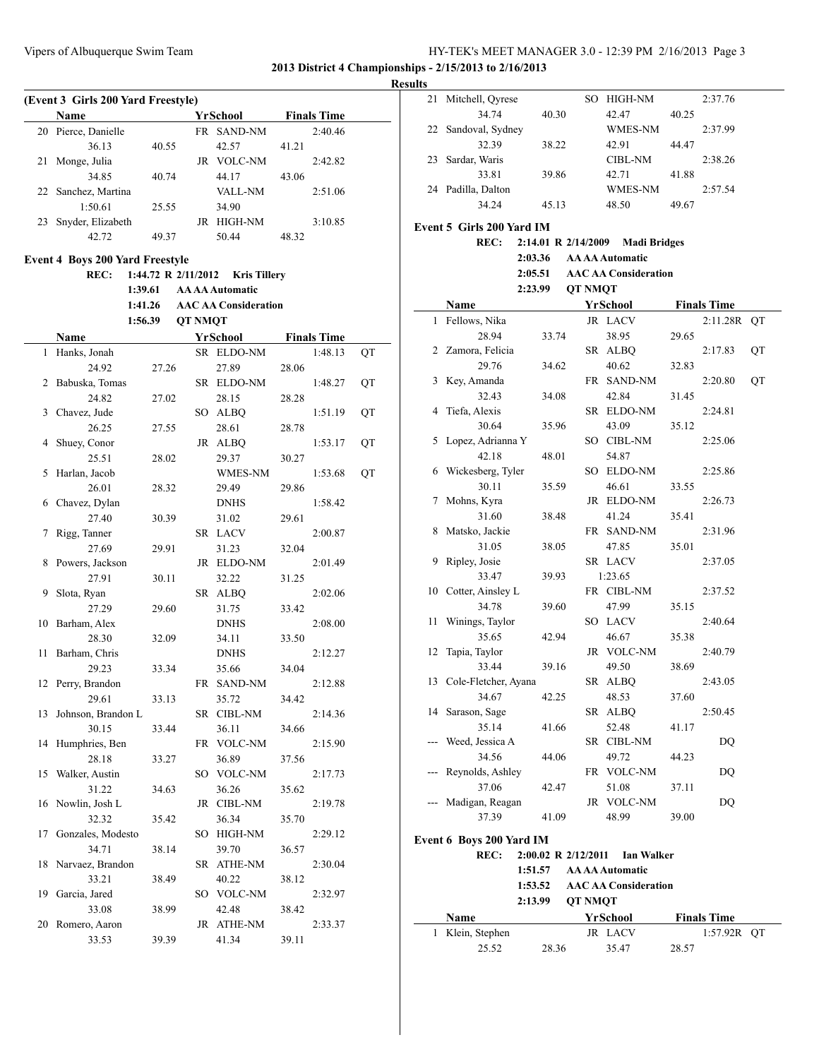**2013 District 4 Championships - 2/15/2013 to 2/16/2013**

 $\overline{a}$ 

**Results**

|    | (Event 3 Girls 200 Yard Freestyle)     |                     |                |                             |       |                    |    |
|----|----------------------------------------|---------------------|----------------|-----------------------------|-------|--------------------|----|
|    | Name                                   |                     |                | YrSchool                    |       | <b>Finals Time</b> |    |
| 20 | Pierce, Danielle                       |                     |                | FR SAND-NM                  |       | 2:40.46            |    |
|    | 36.13                                  | 40.55               |                | 42.57                       | 41.21 |                    |    |
| 21 | Monge, Julia                           |                     |                | JR VOLC-NM                  |       | 2:42.82            |    |
|    | 34.85                                  | 40.74               |                | 44.17                       | 43.06 |                    |    |
| 22 | Sanchez, Martina                       |                     |                | VALL-NM                     |       | 2:51.06            |    |
|    | 1:50.61                                | 25.55               |                | 34.90                       |       |                    |    |
| 23 | Snyder, Elizabeth                      |                     |                | JR HIGH-NM                  |       | 3:10.85            |    |
|    | 42.72                                  | 49.37               |                | 50.44                       | 48.32 |                    |    |
|    |                                        |                     |                |                             |       |                    |    |
|    | <b>Event 4 Boys 200 Yard Freestyle</b> |                     |                |                             |       |                    |    |
|    | REC:                                   | 1:44.72 R 2/11/2012 |                | <b>Kris Tillery</b>         |       |                    |    |
|    |                                        | 1:39.61             |                | <b>AA AA Automatic</b>      |       |                    |    |
|    |                                        | 1:41.26             |                | <b>AAC AA Consideration</b> |       |                    |    |
|    |                                        | 1:56.39             | <b>QT NMQT</b> |                             |       |                    |    |
|    | Name                                   |                     |                | <b>YrSchool</b>             |       | <b>Finals Time</b> |    |
| 1  | Hanks, Jonah                           |                     |                | SR ELDO-NM                  |       | 1:48.13            | QT |
|    | 24.92                                  | 27.26               |                | 27.89                       | 28.06 |                    |    |
| 2  | Babuska, Tomas                         |                     |                | SR ELDO-NM                  |       | 1:48.27            | QT |
|    | 24.82                                  | 27.02               |                | 28.15                       | 28.28 |                    |    |
| 3  | Chavez, Jude                           |                     |                | SO ALBQ                     |       | 1:51.19            | QT |
|    | 26.25                                  | 27.55               |                | 28.61                       | 28.78 |                    |    |
| 4  | Shuey, Conor                           |                     |                | JR ALBQ                     |       | 1:53.17            | QT |
|    | 25.51                                  | 28.02               |                | 29.37                       | 30.27 |                    |    |
| 5  | Harlan, Jacob                          |                     |                | WMES-NM                     |       | 1:53.68            | QT |
|    | 26.01                                  | 28.32               |                | 29.49                       | 29.86 |                    |    |
| 6  | Chavez, Dylan                          |                     |                | <b>DNHS</b>                 |       | 1:58.42            |    |
|    | 27.40                                  | 30.39               |                | 31.02                       | 29.61 |                    |    |
| 7  | Rigg, Tanner                           |                     |                | SR LACV                     |       | 2:00.87            |    |
|    | 27.69                                  | 29.91               |                | 31.23                       | 32.04 |                    |    |
| 8  | Powers, Jackson                        |                     |                | JR ELDO-NM                  |       | 2:01.49            |    |
|    | 27.91                                  | 30.11               |                | 32.22                       | 31.25 |                    |    |
| 9  | Slota, Ryan                            |                     |                | SR ALBQ                     |       | 2:02.06            |    |
|    | 27.29                                  | 29.60               |                | 31.75                       | 33.42 |                    |    |
| 10 | Barham, Alex                           |                     |                | <b>DNHS</b>                 |       | 2:08.00            |    |
|    | 28.30                                  | 32.09               |                | 34.11                       | 33.50 |                    |    |
| 11 | Barham, Chris                          |                     |                | <b>DNHS</b>                 |       | 2:12.27            |    |
|    | 29.23                                  | 33.34               |                | 35.66                       | 34.04 |                    |    |
|    | 12 Perry, Brandon                      |                     |                | FR SAND-NM                  |       | 2:12.88            |    |
|    | 29.61                                  | 33.13               |                | 35.72                       | 34.42 |                    |    |
| 13 | Johnson, Brandon L                     |                     |                | SR CIBL-NM                  |       | 2:14.36            |    |
|    | 30.15                                  | 33.44               |                | 36.11                       | 34.66 |                    |    |
| 14 | Humphries, Ben                         |                     |                | FR VOLC-NM                  |       | 2:15.90            |    |
|    | 28.18                                  | 33.27               |                | 36.89                       | 37.56 |                    |    |
| 15 | Walker, Austin                         |                     |                | SO VOLC-NM                  |       | 2:17.73            |    |
|    | 31.22                                  | 34.63               |                | 36.26                       | 35.62 |                    |    |
| 16 | Nowlin, Josh L                         |                     |                | JR CIBL-NM                  |       | 2:19.78            |    |
|    | 32.32                                  | 35.42               |                | 36.34                       | 35.70 |                    |    |
| 17 | Gonzales, Modesto                      |                     | SO             | HIGH-NM                     |       | 2:29.12            |    |
|    | 34.71                                  |                     |                | 39.70                       | 36.57 |                    |    |
|    |                                        | 38.14               |                |                             |       |                    |    |
| 18 | Narvaez, Brandon                       |                     |                | SR ATHE-NM                  |       | 2:30.04            |    |
|    | 33.21                                  | 38.49               |                | 40.22                       | 38.12 |                    |    |
| 19 | Garcia, Jared                          |                     |                | SO VOLC-NM                  |       | 2:32.97            |    |
|    | 33.08                                  | 38.99               |                | 42.48                       | 38.42 |                    |    |
| 20 | Romero, Aaron                          |                     | JR             | ATHE-NM                     |       | 2:33.37            |    |
|    | 33.53                                  | 39.39               |                | 41.34                       | 39.11 |                    |    |

| 21    | Mitchell, Qyrese                |                     |                | SO HIGH-NM                  |       | 2:37.76            |    |
|-------|---------------------------------|---------------------|----------------|-----------------------------|-------|--------------------|----|
|       | 34.74                           | 40.30               |                | 42.47                       | 40.25 |                    |    |
| 22    | Sandoval, Sydney                |                     |                | WMES-NM                     |       | 2:37.99            |    |
|       | 32.39                           | 38.22               |                | 42.91                       | 44.47 |                    |    |
| 23    | Sardar, Waris                   |                     |                | <b>CIBL-NM</b>              |       | 2:38.26            |    |
|       | 33.81                           | 39.86               |                | 42.71                       | 41.88 |                    |    |
|       | 24 Padilla, Dalton              |                     |                | WMES-NM                     |       | 2:57.54            |    |
|       | 34.24                           | 45.13               |                | 48.50                       | 49.67 |                    |    |
|       |                                 |                     |                |                             |       |                    |    |
|       | Event 5 Girls 200 Yard IM       |                     |                |                             |       |                    |    |
|       | <b>REC:</b>                     | 2:14.01 R 2/14/2009 |                | <b>Madi Bridges</b>         |       |                    |    |
|       |                                 | 2:03.36             |                | <b>AAAAAutomatic</b>        |       |                    |    |
|       |                                 | 2:05.51             |                | <b>AAC AA Consideration</b> |       |                    |    |
|       |                                 | 2:23.99             | <b>QT NMQT</b> |                             |       |                    |    |
|       | Name                            |                     |                | YrSchool                    |       | <b>Finals Time</b> |    |
| 1     | Fellows, Nika                   |                     |                | JR LACV                     |       | 2:11.28R           | QT |
|       | 28.94                           | 33.74               |                | 38.95                       | 29.65 |                    |    |
|       | 2 Zamora, Felicia               |                     |                | SR ALBQ                     |       | 2:17.83            | QT |
|       | 29.76                           | 34.62               |                | 40.62                       | 32.83 |                    |    |
| 3     | Key, Amanda                     |                     |                | FR SAND-NM                  |       | 2:20.80            | QT |
|       | 32.43                           | 34.08               |                | 42.84                       | 31.45 |                    |    |
| 4     | Tiefa, Alexis                   |                     |                | SR ELDO-NM                  |       | 2:24.81            |    |
|       | 30.64                           | 35.96               |                | 43.09                       | 35.12 |                    |    |
| 5     | Lopez, Adrianna Y               |                     |                | SO CIBL-NM                  |       | 2:25.06            |    |
|       | 42.18                           | 48.01               |                | 54.87                       |       |                    |    |
| 6     | Wickesberg, Tyler               |                     |                | SO ELDO-NM                  |       | 2:25.86            |    |
|       | 30.11                           | 35.59               |                | 46.61                       | 33.55 |                    |    |
| 7     | Mohns, Kyra                     |                     |                | JR ELDO-NM                  |       | 2:26.73            |    |
|       | 31.60                           | 38.48               |                | 41.24                       | 35.41 |                    |    |
| 8     | Matsko, Jackie                  |                     |                | FR SAND-NM                  |       | 2:31.96            |    |
|       | 31.05                           | 38.05               |                | 47.85                       | 35.01 |                    |    |
| 9     | Ripley, Josie                   |                     |                | SR LACV                     |       | 2:37.05            |    |
|       | 33.47                           | 39.93               |                | 1:23.65                     |       |                    |    |
| 10    | Cotter, Ainsley L               |                     |                | FR CIBL-NM                  |       | 2:37.52            |    |
|       | 34.78                           | 39.60               |                | 47.99                       | 35.15 |                    |    |
| 11    | Winings, Taylor                 |                     |                | SO LACV                     |       | 2:40.64            |    |
|       | 35.65                           | 42.94               |                | 46.67                       | 35.38 |                    |    |
| 12    | Tapia, Taylor                   |                     |                | JR VOLC-NM                  |       | 2:40.79            |    |
|       | 33.44                           | 39.16               |                | 49.50                       | 38.69 |                    |    |
|       | 13 Cole-Fletcher, Ayana         |                     |                | SR ALBQ                     |       | 2:43.05            |    |
|       | 34.67                           | 42.25               |                | 48.53                       | 37.60 |                    |    |
| 14    | Sarason, Sage                   |                     | SR             | <b>ALBQ</b>                 |       | 2:50.45            |    |
|       | 35.14                           | 41.66               |                | 52.48                       | 41.17 |                    |    |
| $---$ | Weed, Jessica A                 |                     | SR             | CIBL-NM                     |       | DQ                 |    |
|       | 34.56                           | 44.06               |                | 49.72                       | 44.23 |                    |    |
|       | Reynolds, Ashley                |                     | FR             | VOLC-NM                     |       | DQ                 |    |
|       | 37.06                           | 42.47               |                | 51.08                       | 37.11 |                    |    |
|       | Madigan, Reagan                 |                     | JR             | <b>VOLC-NM</b>              |       | DQ                 |    |
|       | 37.39                           | 41.09               |                | 48.99                       | 39.00 |                    |    |
|       | <b>Event 6 Boys 200 Yard IM</b> |                     |                |                             |       |                    |    |
|       | REC:                            | 2:00.02 R 2/12/2011 |                | Ian Walker                  |       |                    |    |
|       |                                 | 1:51.57             |                | <b>AA AA Automatic</b>      |       |                    |    |
|       |                                 | 1:53.52             |                | <b>AAC AA Consideration</b> |       |                    |    |
|       |                                 | 2:13.99             | <b>QT NMQT</b> |                             |       |                    |    |
|       |                                 |                     |                |                             |       |                    |    |
|       | Name                            |                     |                | YrSchool                    |       | <u>Finals Time</u> |    |
| 1     | Klein, Stephen                  |                     |                | JR LACV                     |       | 1:57.92R           | QT |
|       | 25.52                           | 28.36               |                | 35.47                       | 28.57 |                    |    |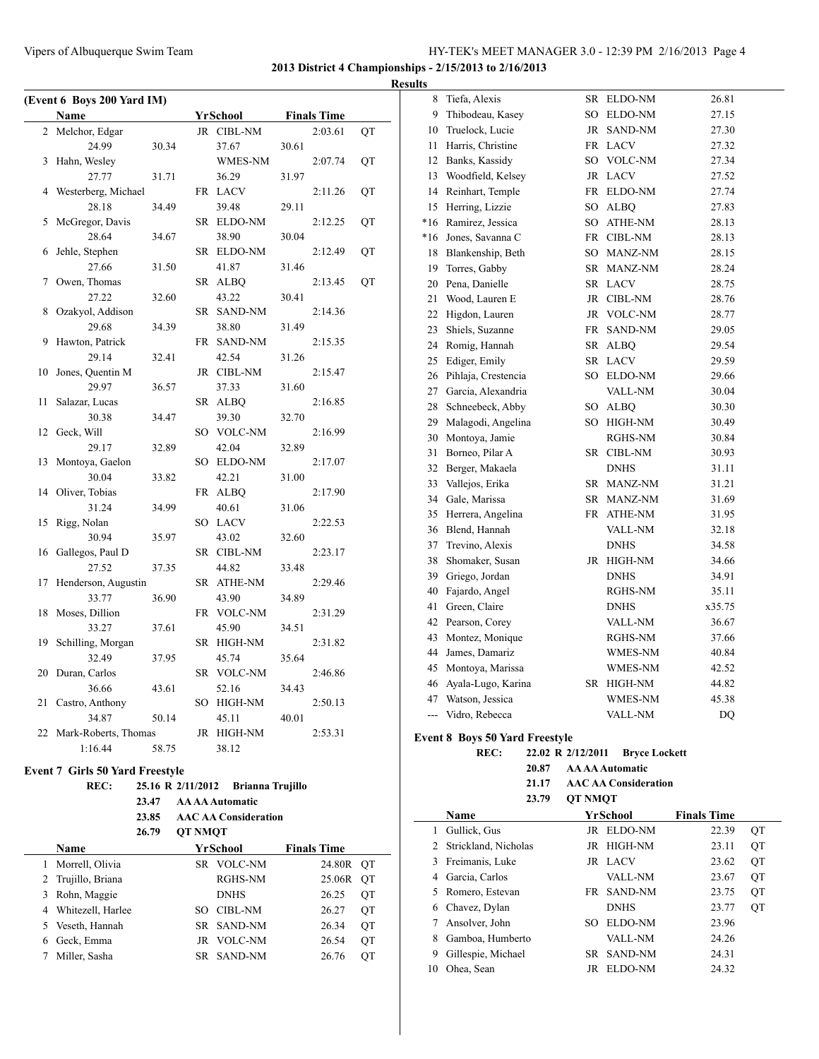**2013 District 4 Championships - 2/15/2013 to 2/16/2013**

|  | <b>Results</b> |  |
|--|----------------|--|
|  |                |  |

| (Event 6 Boys 200 Yard IM) |                      |       |  |            |       |                    |    |
|----------------------------|----------------------|-------|--|------------|-------|--------------------|----|
|                            | Name                 |       |  | YrSchool   |       | <b>Finals Time</b> |    |
| 2                          | Melchor, Edgar       |       |  | JR CIBL-NM |       | 2:03.61            | QT |
|                            | 24.99                | 30.34 |  | 37.67      | 30.61 |                    |    |
| 3                          | Hahn, Wesley         |       |  | WMES-NM    |       | 2:07.74            | QT |
|                            | 27.77                | 31.71 |  | 36.29      | 31.97 |                    |    |
| 4                          | Westerberg, Michael  |       |  | FR LACV    |       | 2:11.26            | QT |
|                            | 28.18                | 34.49 |  | 39.48      | 29.11 |                    |    |
| 5                          | McGregor, Davis      |       |  | SR ELDO-NM |       | 2:12.25            | QT |
|                            | 28.64                | 34.67 |  | 38.90      | 30.04 |                    |    |
| 6                          | Jehle, Stephen       |       |  | SR ELDO-NM |       | 2:12.49            | QT |
|                            | 27.66                | 31.50 |  | 41.87      | 31.46 |                    |    |
| 7                          | Owen, Thomas         |       |  | SR ALBQ    |       | 2:13.45            | QT |
|                            | 27.22                | 32.60 |  | 43.22      | 30.41 |                    |    |
| 8                          | Ozakyol, Addison     |       |  | SR SAND-NM |       | 2:14.36            |    |
|                            | 29.68                | 34.39 |  | 38.80      | 31.49 |                    |    |
| 9                          | Hawton, Patrick      |       |  | FR SAND-NM |       | 2:15.35            |    |
|                            | 29.14                | 32.41 |  | 42.54      | 31.26 |                    |    |
| 10                         | Jones, Quentin M     |       |  | JR CIBL-NM |       | 2:15.47            |    |
|                            | 29.97                | 36.57 |  | 37.33      | 31.60 |                    |    |
| 11                         | Salazar, Lucas       |       |  | SR ALBQ    |       | 2:16.85            |    |
|                            | 30.38                | 34.47 |  | 39.30      | 32.70 |                    |    |
| 12                         | Geck, Will           |       |  | SO VOLC-NM |       | 2:16.99            |    |
|                            | 29.17                | 32.89 |  | 42.04      | 32.89 |                    |    |
| 13                         | Montoya, Gaelon      |       |  | SO ELDO-NM |       | 2:17.07            |    |
|                            | 30.04                | 33.82 |  | 42.21      | 31.00 |                    |    |
| 14                         | Oliver, Tobias       |       |  | FR ALBQ    |       | 2:17.90            |    |
|                            | 31.24                | 34.99 |  | 40.61      | 31.06 |                    |    |
| 15                         | Rigg, Nolan          |       |  | SO LACV    |       | 2:22.53            |    |
|                            | 30.94                | 35.97 |  | 43.02      | 32.60 |                    |    |
| 16                         | Gallegos, Paul D     |       |  | SR CIBL-NM |       | 2:23.17            |    |
|                            | 27.52                | 37.35 |  | 44.82      | 33.48 |                    |    |
| 17                         | Henderson, Augustin  |       |  | SR ATHE-NM |       | 2:29.46            |    |
|                            | 33.77                | 36.90 |  | 43.90      | 34.89 |                    |    |
| 18                         | Moses, Dillion       |       |  | FR VOLC-NM |       | 2:31.29            |    |
|                            | 33.27                | 37.61 |  | 45.90      | 34.51 |                    |    |
| 19                         | Schilling, Morgan    |       |  | SR HIGH-NM |       | 2:31.82            |    |
|                            | 32.49                | 37.95 |  | 45.74      | 35.64 |                    |    |
| 20                         | Duran, Carlos        |       |  | SR VOLC-NM |       | 2:46.86            |    |
|                            | 36.66                | 43.61 |  | 52.16      | 34.43 |                    |    |
| 21                         | Castro, Anthony      |       |  | SO HIGH-NM |       | 2:50.13            |    |
|                            | 34.87                | 50.14 |  | 45.11      | 40.01 |                    |    |
| 22                         | Mark-Roberts, Thomas |       |  | JR HIGH-NM |       | 2:53.31            |    |
|                            | 1:16.44              | 58.75 |  | 38.12      |       |                    |    |
|                            |                      |       |  |            |       |                    |    |

# **Event 7 Girls 50 Yard Freestyle**

#### **REC: 25.16 R 2/11/2012 Brianna Trujillo 23.47 AA AA Automatic**

### **23.85 AAC AA Consideration 26.79 QT NMQT**

|   | <b>Name</b>         |      | YrSchool       | <b>Finals Time</b> |           |
|---|---------------------|------|----------------|--------------------|-----------|
|   | 1 Morrell, Olivia   |      | SR VOLC-NM     | 24.80R OT          |           |
|   | 2 Trujillo, Briana  |      | RGHS-NM        | 25.06R             | <b>OT</b> |
| 3 | Rohn, Maggie        |      | <b>DNHS</b>    | 26.25              | ОT        |
|   | 4 Whitezell, Harlee | SO.  | CIBI -NM       | 26.27              | ОT        |
|   | 5 Veseth, Hannah    |      | SR SAND-NM     | 26.34              | ОT        |
| 6 | Geck, Emma          |      | JR VOLC-NM     | 26.54              | ОT        |
|   | Miller, Sasha       | SR – | <b>SAND-NM</b> | 26.76              | OТ        |

| 8                        | Tiefa, Alexis       | SR        | ELDO-NM        | 26.81  |
|--------------------------|---------------------|-----------|----------------|--------|
| 9                        | Thibodeau, Kasey    |           | SO ELDO-NM     | 27.15  |
| 10                       | Truelock, Lucie     | JR        | <b>SAND-NM</b> | 27.30  |
| 11                       | Harris, Christine   |           | FR LACV        | 27.32  |
| 12                       | Banks, Kassidy      |           | SO VOLC-NM     | 27.34  |
| 13                       | Woodfield, Kelsey   |           | JR LACV        | 27.52  |
| 14                       | Reinhart, Temple    |           | FR ELDO-NM     | 27.74  |
| 15                       | Herring, Lizzie     |           | SO ALBQ        | 27.83  |
| $*16$                    | Ramirez, Jessica    |           | SO ATHE-NM     | 28.13  |
| *16                      | Jones, Savanna C    |           | FR CIBL-NM     | 28.13  |
| 18                       | Blankenship, Beth   |           | SO MANZ-NM     | 28.15  |
| 19                       | Torres, Gabby       |           | SR MANZ-NM     | 28.24  |
| 20                       | Pena, Danielle      |           | SR LACV        | 28.75  |
| 21                       | Wood, Lauren E      |           | JR CIBL-NM     | 28.76  |
| 22                       | Higdon, Lauren      |           | JR VOLC-NM     | 28.77  |
| 23                       | Shiels, Suzanne     | <b>FR</b> | <b>SAND-NM</b> | 29.05  |
| 24                       | Romig, Hannah       |           | SR ALBQ        | 29.54  |
| 25                       | Ediger, Emily       |           | SR LACV        | 29.59  |
| 26                       | Pihlaja, Crestencia |           | SO ELDO-NM     | 29.66  |
| 27                       | Garcia, Alexandria  |           | VALL-NM        | 30.04  |
| 28                       | Schneebeck, Abby    |           | SO ALBQ        | 30.30  |
| 29                       | Malagodi, Angelina  |           | SO HIGH-NM     | 30.49  |
| 30                       | Montoya, Jamie      |           | RGHS-NM        | 30.84  |
| 31                       | Borneo, Pilar A     |           | SR CIBL-NM     | 30.93  |
| 32                       | Berger, Makaela     |           | <b>DNHS</b>    | 31.11  |
| 33                       | Vallejos, Erika     |           | SR MANZ-NM     | 31.21  |
| 34                       | Gale, Marissa       |           | SR MANZ-NM     | 31.69  |
| 35                       | Herrera, Angelina   |           | FR ATHE-NM     | 31.95  |
| 36                       | Blend, Hannah       |           | VALL-NM        | 32.18  |
| 37                       | Trevino, Alexis     |           | <b>DNHS</b>    | 34.58  |
| 38                       | Shomaker, Susan     |           | JR HIGH-NM     | 34.66  |
| 39                       | Griego, Jordan      |           | <b>DNHS</b>    | 34.91  |
| 40                       | Fajardo, Angel      |           | RGHS-NM        | 35.11  |
| 41                       | Green, Claire       |           | <b>DNHS</b>    | x35.75 |
| 42                       | Pearson, Corey      |           | VALL-NM        | 36.67  |
| 43                       | Montez, Monique     |           | RGHS-NM        | 37.66  |
| 44                       | James, Damariz      |           | WMES-NM        | 40.84  |
| 45                       | Montoya, Marissa    |           | WMES-NM        | 42.52  |
| 46                       | Ayala-Lugo, Karina  |           | SR HIGH-NM     | 44.82  |
| 47                       | Watson, Jessica     |           | WMES-NM        | 45.38  |
| $\overline{\phantom{a}}$ | Vidro, Rebecca      |           | VALL-NM        | DQ     |
|                          |                     |           |                |        |

## **Event 8 Boys 50 Yard Freestyle**

 $\sim$ 

**REC: 22.02 R 2/12/2011 Bryce Lockett**

| 20.87 | <b>AA AA Automatic</b>      |
|-------|-----------------------------|
| 21.17 | <b>AAC AA Consideration</b> |

**23.79 QT NMQT**

|    | Name                   | YrSchool |                |       |           |
|----|------------------------|----------|----------------|-------|-----------|
|    | Gullick, Gus           | JR.      | ELDO-NM        | 22.39 | ОT        |
|    | 2 Strickland, Nicholas | JR.      | HIGH-NM        | 23.11 | QT        |
| 3  | Freimanis, Luke        |          | <b>JR LACV</b> | 23.62 | QT        |
| 4  | Garcia, Carlos         |          | VALL-NM        | 23.67 | <b>OT</b> |
| 5  | Romero, Estevan        |          | FR SAND-NM     | 23.75 | QT        |
| 6  | Chavez, Dylan          |          | <b>DNHS</b>    | 23.77 | <b>OT</b> |
|    | Ansolver, John         | SO.      | ELDO-NM        | 23.96 |           |
| 8  | Gamboa, Humberto       |          | VALL-NM        | 24.26 |           |
| 9  | Gillespie, Michael     | SR.      | <b>SAND-NM</b> | 24.31 |           |
| 10 | Ohea, Sean             | JR       | <b>ELDO-NM</b> | 24.32 |           |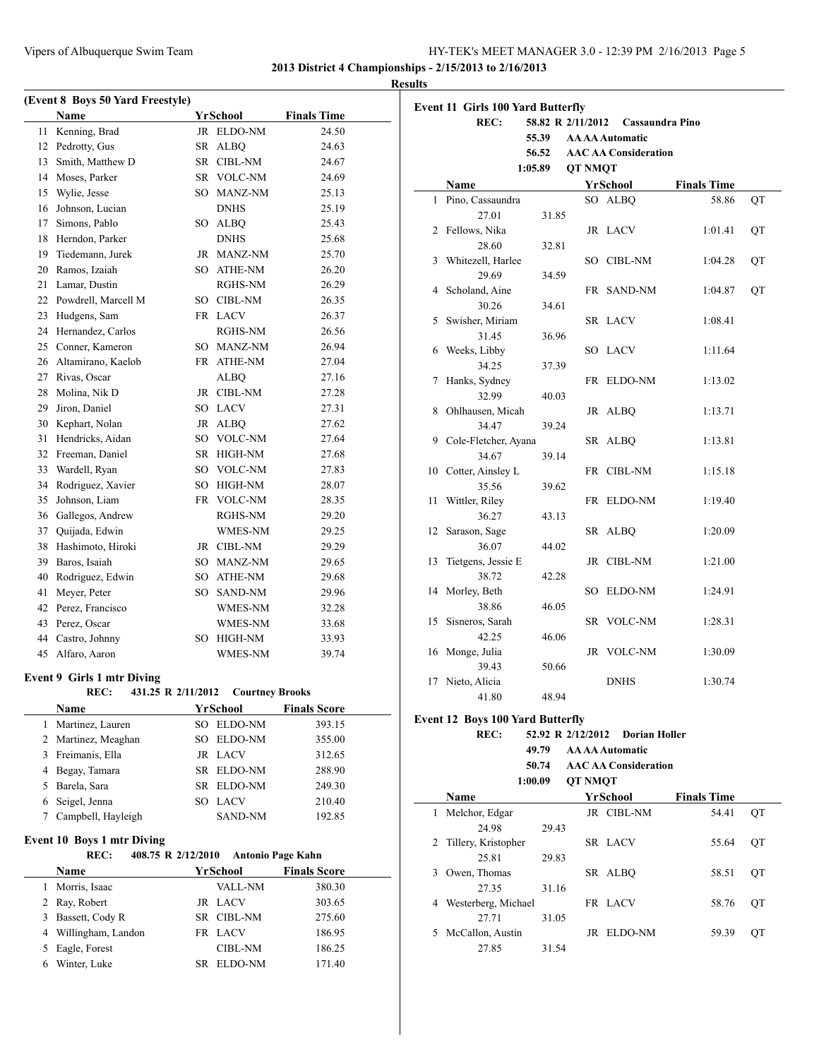**2013 District 4 Championships - 2/15/2013 to 2/16/2013**

|      |                                                 |                        |                     | <b>Results</b> |
|------|-------------------------------------------------|------------------------|---------------------|----------------|
|      | (Event 8 Boys 50 Yard Freestyle)<br><b>Name</b> | YrSchool               | <b>Finals Time</b>  | Evo            |
| 11 - | Kenning, Brad                                   | JR ELDO-NM             | 24.50               |                |
|      | 12 Pedrotty, Gus                                | SR ALBO                | 24.63               |                |
|      | 13 Smith, Matthew D                             | SR CIBL-NM             | 24.67               |                |
|      | 14 Moses, Parker                                | SR VOLC-NM             | 24.69               |                |
|      | 15 Wylie, Jesse                                 | SO MANZ-NM             | 25.13               |                |
|      | 16 Johnson, Lucian                              | <b>DNHS</b>            | 25.19               |                |
|      | 17 Simons, Pablo                                | SO ALBO                | 25.43               |                |
|      | 18 Herndon, Parker                              | <b>DNHS</b>            | 25.68               |                |
|      | 19 Tiedemann, Jurek                             | JR MANZ-NM             | 25.70               |                |
|      | 20 Ramos, Izaiah                                | SO ATHE-NM             | 26.20               |                |
|      | 21 Lamar, Dustin                                | RGHS-NM                | 26.29               |                |
|      | 22 Powdrell, Marcell M                          | SO CIBL-NM             | 26.35               |                |
|      | 23 Hudgens, Sam                                 | FR LACV                | 26.37               |                |
|      | 24 Hernandez, Carlos                            | RGHS-NM                | 26.56               |                |
|      | 25 Conner, Kameron                              | SO MANZ-NM             | 26.94               |                |
|      | 26 Altamirano, Kaelob                           | FR ATHE-NM             | 27.04               |                |
|      | 27 Rivas, Oscar                                 | <b>ALBQ</b>            | 27.16               |                |
|      | 28 Molina, Nik D                                | JR CIBL-NM             | 27.28               |                |
|      | 29 Jiron, Daniel                                | SO LACV                | 27.31               |                |
|      | 30 Kephart, Nolan                               | JR ALBQ                | 27.62               |                |
| 31   | Hendricks, Aidan                                | SO VOLC-NM             | 27.64               |                |
|      | 32 Freeman, Daniel                              | SR HIGH-NM             | 27.68               |                |
|      | 33 Wardell, Ryan                                | SO VOLC-NM             | 27.83               |                |
|      | 34 Rodriguez, Xavier                            | SO HIGH-NM             | 28.07               |                |
| 35   | Johnson, Liam                                   | FR VOLC-NM             | 28.35               |                |
|      | 36 Gallegos, Andrew                             | RGHS-NM                | 29.20               |                |
|      | 37 Quijada, Edwin                               | WMES-NM                | 29.25               |                |
|      | 38 Hashimoto, Hiroki                            | JR CIBL-NM             | 29.29               |                |
|      | 39 Baros, Isaiah                                | SO MANZ-NM             | 29.65               |                |
|      | 40 Rodriguez, Edwin                             | SO ATHE-NM             | 29.68               |                |
| 41   | Meyer, Peter                                    | SO SAND-NM             | 29.96               |                |
|      | 42 Perez, Francisco                             | WMES-NM                | 32.28               |                |
|      | 43 Perez, Oscar                                 | WMES-NM                | 33.68               |                |
|      | 44 Castro, Johnny                               | SO HIGH-NM             | 33.93               |                |
|      | 45 Alfaro, Aaron                                | WMES-NM                | 39.74               |                |
|      | Event 9 Girls 1 mtr Diving                      |                        |                     |                |
|      | REC:<br>431.25 R 2/11/2012                      | <b>Courtney Brooks</b> |                     |                |
|      | Name                                            | YrSchool               | <b>Finals Score</b> | Ev             |
| 1    | Martinez, Lauren                                | SO ELDO-NM             | 393.15              |                |
|      | 2 Martinez, Meaghan                             | SO ELDO-NM             | 355.00              |                |
|      | 3 Freimanis, Ella                               | JR LACV                | 312.65              |                |
|      | 4 Begay, Tamara                                 | SR ELDO-NM             | 288.90              |                |
| 5    | Barela, Sara                                    | SR ELDO-NM             | 249.30              |                |
| 6    | Seigel, Jenna                                   | SO LACV                | 210.40              |                |
| 7    | Campbell, Hayleigh                              | SAND-NM                | 192.85              |                |

## **Event 10 Boys 1 mtr Diving**

|   | REC:                 | 408.75 R 2/12/2010<br>Antonio Page Kahn |                     |  |
|---|----------------------|-----------------------------------------|---------------------|--|
|   | <b>Name</b>          | YrSchool                                | <b>Finals Score</b> |  |
|   | Morris, Isaac        | <b>VALL-NM</b>                          | 380.30              |  |
|   | 2 Ray, Robert        | <b>JR LACV</b>                          | 303.65              |  |
| 3 | Bassett, Cody R      | SR CIBL-NM                              | 275.60              |  |
|   | 4 Willingham, Landon | FR LACV                                 | 186.95              |  |
|   | 5 Eagle, Forest      | <b>CIBL-NM</b>                          | 186.25              |  |
| 6 | Winter, Luke         | ELDO-NM<br>SR.                          | 171.40              |  |

| <b>Event 11 Girls 100 Yard Butterfly</b><br>REC:<br>58.82 R 2/11/2012 Cassaundra Pino<br>55.39<br><b>AA AA Automatic</b><br>56.52 AAC AA Consideration<br><b>QT NMQT</b><br>1:05.89<br>YrSchool<br><b>Finals Time</b><br>Name<br>SO ALBQ<br>58.86<br>Pino, Cassaundra<br>$\mathbf{1}$<br>27.01<br>31.85<br>2 Fellows, Nika<br>JR LACV<br>1:01.41<br>28.60<br>32.81<br>Whitezell, Harlee<br>SO CIBL-NM<br>1:04.28<br>3<br>29.69<br>34.59<br>4 Scholand, Aine<br>FR SAND-NM<br>1:04.87<br>30.26<br>34.61<br>5 Swisher, Miriam<br>SR LACV<br>1:08.41<br>31.45<br>36.96<br>6 Weeks, Libby<br>SO LACV<br>1:11.64<br>34.25<br>37.39<br>Hanks, Sydney<br>FR ELDO-NM<br>7<br>1:13.02<br>32.99<br>40.03<br>8 Ohlhausen, Micah<br>JR ALBQ<br>1:13.71<br>34.47<br>39.24<br>9 Cole-Fletcher, Ayana<br>SR ALBQ<br>1:13.81<br>34.67<br>39.14<br>10 Cotter, Ainsley L<br>FR CIBL-NM<br>1:15.18<br>35.56<br>39.62<br>Wittler, Riley<br>11<br>FR ELDO-NM<br>1:19.40<br>36.27<br>43.13 |    |
|----------------------------------------------------------------------------------------------------------------------------------------------------------------------------------------------------------------------------------------------------------------------------------------------------------------------------------------------------------------------------------------------------------------------------------------------------------------------------------------------------------------------------------------------------------------------------------------------------------------------------------------------------------------------------------------------------------------------------------------------------------------------------------------------------------------------------------------------------------------------------------------------------------------------------------------------------------------------|----|
|                                                                                                                                                                                                                                                                                                                                                                                                                                                                                                                                                                                                                                                                                                                                                                                                                                                                                                                                                                      |    |
|                                                                                                                                                                                                                                                                                                                                                                                                                                                                                                                                                                                                                                                                                                                                                                                                                                                                                                                                                                      |    |
|                                                                                                                                                                                                                                                                                                                                                                                                                                                                                                                                                                                                                                                                                                                                                                                                                                                                                                                                                                      |    |
|                                                                                                                                                                                                                                                                                                                                                                                                                                                                                                                                                                                                                                                                                                                                                                                                                                                                                                                                                                      |    |
|                                                                                                                                                                                                                                                                                                                                                                                                                                                                                                                                                                                                                                                                                                                                                                                                                                                                                                                                                                      |    |
|                                                                                                                                                                                                                                                                                                                                                                                                                                                                                                                                                                                                                                                                                                                                                                                                                                                                                                                                                                      | QT |
|                                                                                                                                                                                                                                                                                                                                                                                                                                                                                                                                                                                                                                                                                                                                                                                                                                                                                                                                                                      |    |
|                                                                                                                                                                                                                                                                                                                                                                                                                                                                                                                                                                                                                                                                                                                                                                                                                                                                                                                                                                      |    |
|                                                                                                                                                                                                                                                                                                                                                                                                                                                                                                                                                                                                                                                                                                                                                                                                                                                                                                                                                                      | QT |
|                                                                                                                                                                                                                                                                                                                                                                                                                                                                                                                                                                                                                                                                                                                                                                                                                                                                                                                                                                      |    |
|                                                                                                                                                                                                                                                                                                                                                                                                                                                                                                                                                                                                                                                                                                                                                                                                                                                                                                                                                                      | QT |
|                                                                                                                                                                                                                                                                                                                                                                                                                                                                                                                                                                                                                                                                                                                                                                                                                                                                                                                                                                      |    |
|                                                                                                                                                                                                                                                                                                                                                                                                                                                                                                                                                                                                                                                                                                                                                                                                                                                                                                                                                                      | QT |
|                                                                                                                                                                                                                                                                                                                                                                                                                                                                                                                                                                                                                                                                                                                                                                                                                                                                                                                                                                      |    |
|                                                                                                                                                                                                                                                                                                                                                                                                                                                                                                                                                                                                                                                                                                                                                                                                                                                                                                                                                                      |    |
|                                                                                                                                                                                                                                                                                                                                                                                                                                                                                                                                                                                                                                                                                                                                                                                                                                                                                                                                                                      |    |
|                                                                                                                                                                                                                                                                                                                                                                                                                                                                                                                                                                                                                                                                                                                                                                                                                                                                                                                                                                      |    |
|                                                                                                                                                                                                                                                                                                                                                                                                                                                                                                                                                                                                                                                                                                                                                                                                                                                                                                                                                                      |    |
|                                                                                                                                                                                                                                                                                                                                                                                                                                                                                                                                                                                                                                                                                                                                                                                                                                                                                                                                                                      |    |
|                                                                                                                                                                                                                                                                                                                                                                                                                                                                                                                                                                                                                                                                                                                                                                                                                                                                                                                                                                      |    |
|                                                                                                                                                                                                                                                                                                                                                                                                                                                                                                                                                                                                                                                                                                                                                                                                                                                                                                                                                                      |    |
|                                                                                                                                                                                                                                                                                                                                                                                                                                                                                                                                                                                                                                                                                                                                                                                                                                                                                                                                                                      |    |
|                                                                                                                                                                                                                                                                                                                                                                                                                                                                                                                                                                                                                                                                                                                                                                                                                                                                                                                                                                      |    |
|                                                                                                                                                                                                                                                                                                                                                                                                                                                                                                                                                                                                                                                                                                                                                                                                                                                                                                                                                                      |    |
|                                                                                                                                                                                                                                                                                                                                                                                                                                                                                                                                                                                                                                                                                                                                                                                                                                                                                                                                                                      |    |
|                                                                                                                                                                                                                                                                                                                                                                                                                                                                                                                                                                                                                                                                                                                                                                                                                                                                                                                                                                      |    |
|                                                                                                                                                                                                                                                                                                                                                                                                                                                                                                                                                                                                                                                                                                                                                                                                                                                                                                                                                                      |    |
|                                                                                                                                                                                                                                                                                                                                                                                                                                                                                                                                                                                                                                                                                                                                                                                                                                                                                                                                                                      |    |
| 12 Sarason, Sage<br>SR ALBQ<br>1:20.09                                                                                                                                                                                                                                                                                                                                                                                                                                                                                                                                                                                                                                                                                                                                                                                                                                                                                                                               |    |
| 36.07<br>44.02                                                                                                                                                                                                                                                                                                                                                                                                                                                                                                                                                                                                                                                                                                                                                                                                                                                                                                                                                       |    |
| Tietgens, Jessie E<br>JR CIBL-NM<br>13<br>1:21.00                                                                                                                                                                                                                                                                                                                                                                                                                                                                                                                                                                                                                                                                                                                                                                                                                                                                                                                    |    |
| 38.72<br>42.28                                                                                                                                                                                                                                                                                                                                                                                                                                                                                                                                                                                                                                                                                                                                                                                                                                                                                                                                                       |    |
| Morley, Beth<br>SO ELDO-NM<br>14<br>1:24.91                                                                                                                                                                                                                                                                                                                                                                                                                                                                                                                                                                                                                                                                                                                                                                                                                                                                                                                          |    |
| 38.86<br>46.05                                                                                                                                                                                                                                                                                                                                                                                                                                                                                                                                                                                                                                                                                                                                                                                                                                                                                                                                                       |    |
| Sisneros, Sarah<br>15<br>SR VOLC-NM<br>1:28.31                                                                                                                                                                                                                                                                                                                                                                                                                                                                                                                                                                                                                                                                                                                                                                                                                                                                                                                       |    |
| 42.25<br>46.06                                                                                                                                                                                                                                                                                                                                                                                                                                                                                                                                                                                                                                                                                                                                                                                                                                                                                                                                                       |    |
| 16 Monge, Julia<br>JR VOLC-NM<br>1:30.09                                                                                                                                                                                                                                                                                                                                                                                                                                                                                                                                                                                                                                                                                                                                                                                                                                                                                                                             |    |
| 39.43<br>50.66                                                                                                                                                                                                                                                                                                                                                                                                                                                                                                                                                                                                                                                                                                                                                                                                                                                                                                                                                       |    |
| 17 Nieto, Alicia<br><b>DNHS</b><br>1:30.74                                                                                                                                                                                                                                                                                                                                                                                                                                                                                                                                                                                                                                                                                                                                                                                                                                                                                                                           |    |
| 41.80<br>48.94                                                                                                                                                                                                                                                                                                                                                                                                                                                                                                                                                                                                                                                                                                                                                                                                                                                                                                                                                       |    |
| <b>Event 12 Boys 100 Yard Butterfly</b>                                                                                                                                                                                                                                                                                                                                                                                                                                                                                                                                                                                                                                                                                                                                                                                                                                                                                                                              |    |
| 52.92 R 2/12/2012 Dorian Holler<br><b>REC:</b>                                                                                                                                                                                                                                                                                                                                                                                                                                                                                                                                                                                                                                                                                                                                                                                                                                                                                                                       |    |
| <b>AAAAAutomatic</b><br>49.79                                                                                                                                                                                                                                                                                                                                                                                                                                                                                                                                                                                                                                                                                                                                                                                                                                                                                                                                        |    |
| <b>AAC AA Consideration</b><br>50.74                                                                                                                                                                                                                                                                                                                                                                                                                                                                                                                                                                                                                                                                                                                                                                                                                                                                                                                                 |    |
| 1:00.09<br><b>OT NMOT</b>                                                                                                                                                                                                                                                                                                                                                                                                                                                                                                                                                                                                                                                                                                                                                                                                                                                                                                                                            |    |
| Name<br>YrSchool<br><b>Finals Time</b>                                                                                                                                                                                                                                                                                                                                                                                                                                                                                                                                                                                                                                                                                                                                                                                                                                                                                                                               |    |
| Melchor, Edgar<br>JR CIBL-NM<br>54.41<br>1                                                                                                                                                                                                                                                                                                                                                                                                                                                                                                                                                                                                                                                                                                                                                                                                                                                                                                                           | QT |
| 24.98<br>29.43                                                                                                                                                                                                                                                                                                                                                                                                                                                                                                                                                                                                                                                                                                                                                                                                                                                                                                                                                       |    |
| Tillery, Kristopher<br>SR LACV<br>55.64<br>2                                                                                                                                                                                                                                                                                                                                                                                                                                                                                                                                                                                                                                                                                                                                                                                                                                                                                                                         | QT |
| 25.81<br>29.83                                                                                                                                                                                                                                                                                                                                                                                                                                                                                                                                                                                                                                                                                                                                                                                                                                                                                                                                                       |    |
| 3 Owen, Thomas<br>SR ALBQ<br>58.51                                                                                                                                                                                                                                                                                                                                                                                                                                                                                                                                                                                                                                                                                                                                                                                                                                                                                                                                   | QT |
| 27.35<br>31.16                                                                                                                                                                                                                                                                                                                                                                                                                                                                                                                                                                                                                                                                                                                                                                                                                                                                                                                                                       |    |
| 4 Westerberg, Michael<br>FR LACV<br>58.76                                                                                                                                                                                                                                                                                                                                                                                                                                                                                                                                                                                                                                                                                                                                                                                                                                                                                                                            | QT |
| 27.71<br>31.05                                                                                                                                                                                                                                                                                                                                                                                                                                                                                                                                                                                                                                                                                                                                                                                                                                                                                                                                                       |    |
| 59.39<br>5 McCallon, Austin<br>JR ELDO-NM<br>QT                                                                                                                                                                                                                                                                                                                                                                                                                                                                                                                                                                                                                                                                                                                                                                                                                                                                                                                      |    |

27.85 31.54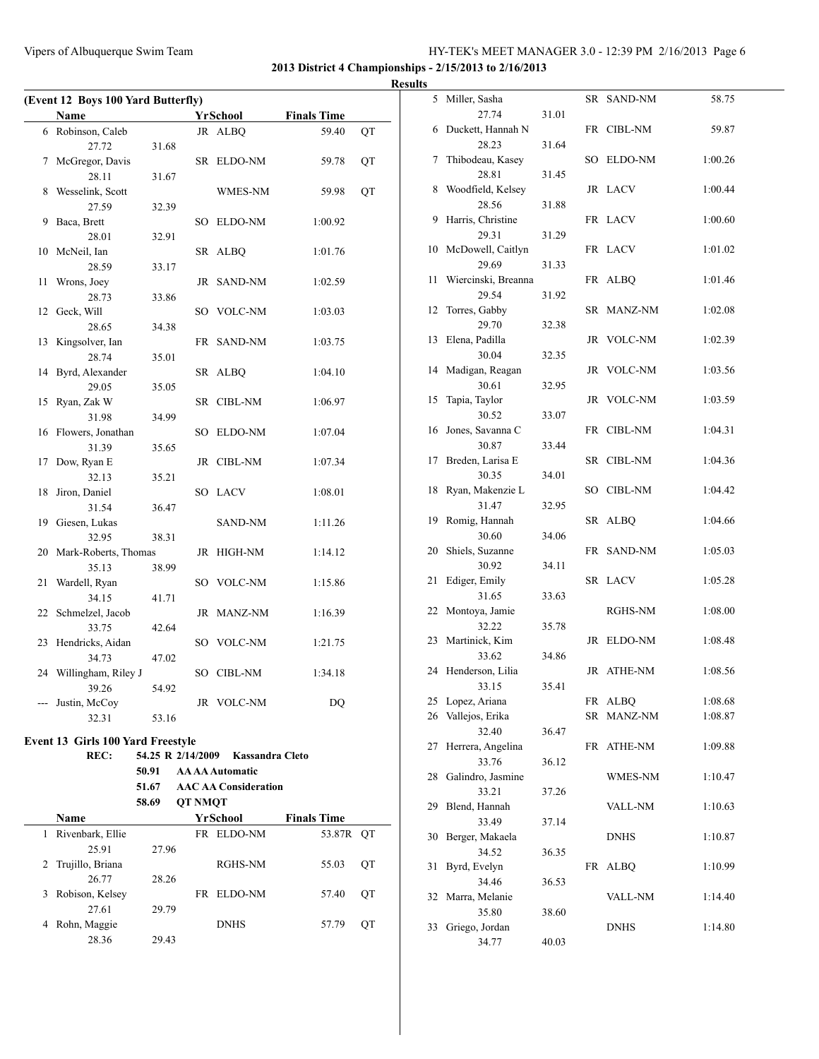**2013 District 4 Championships - 2/15/2013 to 2/16/2013**

**Results**

| (Event 12 Boys 100 Yard Butterfly) |                                          |                   |                |                             |                    |    |  |
|------------------------------------|------------------------------------------|-------------------|----------------|-----------------------------|--------------------|----|--|
|                                    | <b>Name</b>                              |                   |                | YrSchool                    | <b>Finals Time</b> |    |  |
|                                    | 6 Robinson, Caleb                        |                   |                | JR ALBQ                     | 59.40              | QT |  |
|                                    | 27.72                                    | 31.68             |                |                             |                    |    |  |
| 7                                  | McGregor, Davis                          |                   |                | SR ELDO-NM                  | 59.78              | QT |  |
|                                    | 28.11                                    | 31.67             |                |                             |                    |    |  |
| 8                                  | Wesselink, Scott                         |                   |                | WMES-NM                     | 59.98              | QT |  |
|                                    | 27.59                                    | 32.39             |                |                             |                    |    |  |
| 9                                  | Baca, Brett                              |                   |                | SO ELDO-NM                  | 1:00.92            |    |  |
|                                    | 28.01                                    | 32.91             |                |                             |                    |    |  |
|                                    | 10 McNeil, Ian                           |                   |                | SR ALBQ                     | 1:01.76            |    |  |
|                                    | 28.59                                    | 33.17             |                |                             |                    |    |  |
| 11                                 | Wrons, Joey                              |                   |                | JR SAND-NM                  | 1:02.59            |    |  |
|                                    | 28.73                                    | 33.86             |                |                             |                    |    |  |
| 12                                 | Geck, Will                               |                   |                | SO VOLC-NM                  | 1:03.03            |    |  |
|                                    | 28.65                                    | 34.38             |                |                             |                    |    |  |
| 13                                 | Kingsolver, Ian                          |                   |                | FR SAND-NM                  | 1:03.75            |    |  |
|                                    | 28.74                                    | 35.01             |                |                             |                    |    |  |
| 14                                 | Byrd, Alexander                          |                   |                | SR ALBQ                     | 1:04.10            |    |  |
|                                    | 29.05                                    | 35.05             |                |                             |                    |    |  |
| 15                                 | Ryan, Zak W                              |                   |                | SR CIBL-NM                  | 1:06.97            |    |  |
|                                    | 31.98                                    | 34.99             |                |                             |                    |    |  |
|                                    | 16 Flowers, Jonathan                     |                   |                | SO ELDO-NM                  | 1:07.04            |    |  |
|                                    | 31.39                                    | 35.65             |                |                             |                    |    |  |
| 17                                 | Dow, Ryan E                              |                   |                | JR CIBL-NM                  | 1:07.34            |    |  |
| 18                                 | 32.13<br>Jiron, Daniel                   | 35.21             |                | SO LACV                     | 1:08.01            |    |  |
|                                    | 31.54                                    | 36.47             |                |                             |                    |    |  |
|                                    | 19 Giesen, Lukas                         |                   |                | SAND-NM                     | 1:11.26            |    |  |
|                                    | 32.95                                    | 38.31             |                |                             |                    |    |  |
| 20                                 | Mark-Roberts, Thomas                     |                   |                | JR HIGH-NM                  | 1:14.12            |    |  |
|                                    | 35.13                                    | 38.99             |                |                             |                    |    |  |
| 21                                 | Wardell, Ryan                            |                   |                | SO VOLC-NM                  | 1:15.86            |    |  |
|                                    | 34.15                                    | 41.71             |                |                             |                    |    |  |
| 22                                 | Schmelzel, Jacob                         |                   |                | JR MANZ-NM                  | 1:16.39            |    |  |
|                                    | 33.75                                    | 42.64             |                |                             |                    |    |  |
| 23                                 | Hendricks, Aidan                         |                   |                | SO VOLC-NM                  | 1:21.75            |    |  |
|                                    | 34.73                                    | 47.02             |                |                             |                    |    |  |
| 24                                 | Willingham, Riley J                      |                   |                | SO CIBL-NM                  | 1:34.18            |    |  |
|                                    | 39.26                                    | 54.92             |                |                             |                    |    |  |
|                                    | Justin, McCoy                            |                   |                | JR VOLC-NM                  | DQ                 |    |  |
|                                    | 32.31                                    | 53.16             |                |                             |                    |    |  |
|                                    | <b>Event 13 Girls 100 Yard Freestyle</b> |                   |                |                             |                    |    |  |
|                                    | REC:                                     | 54.25 R 2/14/2009 |                | <b>Kassandra Cleto</b>      |                    |    |  |
|                                    |                                          | 50.91             |                | <b>AA AA Automatic</b>      |                    |    |  |
|                                    |                                          | 51.67             |                | <b>AAC AA Consideration</b> |                    |    |  |
|                                    |                                          | 58.69             | <b>QT NMQT</b> |                             |                    |    |  |
|                                    | Name                                     |                   |                | YrSchool                    | <b>Finals Time</b> |    |  |
| 1                                  | Rivenbark, Ellie                         |                   |                | FR ELDO-NM                  | 53.87R             | QT |  |
|                                    | 25.91                                    | 27.96             |                |                             |                    |    |  |
| 2                                  | Trujillo, Briana                         |                   |                | RGHS-NM                     | 55.03              | QT |  |
|                                    | 26.77                                    | 28.26             |                |                             |                    |    |  |
| 3                                  | Robison, Kelsey                          |                   |                | FR ELDO-NM                  | 57.40              | QT |  |
|                                    | 27.61                                    | 29.79             |                |                             |                    |    |  |

4 Rohn, Maggie DNHS 57.79 QT

28.36 29.43

| 5  | Miller, Sasha       |       |           | SR SAND-NM     | 58.75   |
|----|---------------------|-------|-----------|----------------|---------|
|    | 27.74               | 31.01 |           |                |         |
| 6  | Duckett, Hannah N   |       |           | FR CIBL-NM     | 59.87   |
|    | 28.23               | 31.64 |           |                |         |
| 7  | Thibodeau, Kasey    |       |           | SO ELDO-NM     | 1:00.26 |
|    | 28.81               | 31.45 |           |                |         |
| 8  | Woodfield, Kelsey   |       |           | JR LACV        | 1:00.44 |
|    | 28.56               | 31.88 |           |                |         |
| 9  | Harris, Christine   |       |           | FR LACV        | 1:00.60 |
|    | 29.31               | 31.29 |           |                |         |
| 10 | McDowell, Caitlyn   |       |           | FR LACV        | 1:01.02 |
|    | 29.69               | 31.33 |           |                |         |
| 11 | Wiercinski, Breanna |       |           | FR ALBQ        | 1:01.46 |
|    | 29.54               | 31.92 |           |                |         |
| 12 | Torres, Gabby       |       | SR        | MANZ-NM        | 1:02.08 |
|    | 29.70               |       |           |                |         |
|    | Elena, Padilla      | 32.38 |           |                |         |
| 13 |                     |       |           | JR VOLC-NM     | 1:02.39 |
|    | 30.04               | 32.35 |           |                |         |
| 14 | Madigan, Reagan     |       |           | JR VOLC-NM     | 1:03.56 |
|    | 30.61               | 32.95 |           |                |         |
| 15 | Tapia, Taylor       |       |           | JR VOLC-NM     | 1:03.59 |
|    | 30.52               | 33.07 |           |                |         |
| 16 | Jones, Savanna C    |       |           | FR CIBL-NM     | 1:04.31 |
|    | 30.87               | 33.44 |           |                |         |
| 17 | Breden, Larisa E    |       |           | SR CIBL-NM     | 1:04.36 |
|    | 30.35               | 34.01 |           |                |         |
| 18 | Ryan, Makenzie L    |       |           | SO CIBL-NM     | 1:04.42 |
|    | 31.47               | 32.95 |           |                |         |
| 19 | Romig, Hannah       |       |           | SR ALBQ        | 1:04.66 |
|    | 30.60               | 34.06 |           |                |         |
| 20 | Shiels, Suzanne     |       | FR        | SAND-NM        | 1:05.03 |
|    | 30.92               | 34.11 |           |                |         |
| 21 | Ediger, Emily       |       |           | SR LACV        | 1:05.28 |
|    | 31.65               | 33.63 |           |                |         |
| 22 | Montoya, Jamie      |       |           | RGHS-NM        | 1:08.00 |
|    | 32.22               | 35.78 |           |                |         |
| 23 | Martinick, Kim      |       |           | JR ELDO-NM     | 1:08.48 |
|    | 33.62               | 34.86 |           |                |         |
| 24 | Henderson, Lilia    |       |           | JR ATHE-NM     | 1:08.56 |
|    | 33.15               | 35.41 |           |                |         |
| 25 | Lopez, Ariana       |       | FR        | <b>ALBQ</b>    | 1:08.68 |
| 26 | Vallejos, Erika     |       | <b>SR</b> | MANZ-NM        | 1:08.87 |
|    | 32.40               | 36.47 |           |                |         |
| 27 | Herrera, Angelina   |       | FR        | ATHE-NM        | 1:09.88 |
|    | 33.76               | 36.12 |           |                |         |
| 28 | Galindro, Jasmine   |       |           | WMES-NM        | 1:10.47 |
|    | 33.21               | 37.26 |           |                |         |
| 29 | Blend, Hannah       |       |           | <b>VALL-NM</b> | 1:10.63 |
|    | 33.49               | 37.14 |           |                |         |
| 30 | Berger, Makaela     |       |           | <b>DNHS</b>    | 1:10.87 |
|    | 34.52               | 36.35 |           |                |         |
|    | Byrd, Evelyn        |       |           |                |         |
| 31 | 34.46               |       | FR        | <b>ALBQ</b>    | 1:10.99 |
|    |                     | 36.53 |           |                |         |
| 32 | Marra, Melanie      |       |           | VALL-NM        | 1:14.40 |
|    | 35.80               | 38.60 |           |                |         |
| 33 | Griego, Jordan      |       |           | DNHS           | 1:14.80 |
|    | 34.77               | 40.03 |           |                |         |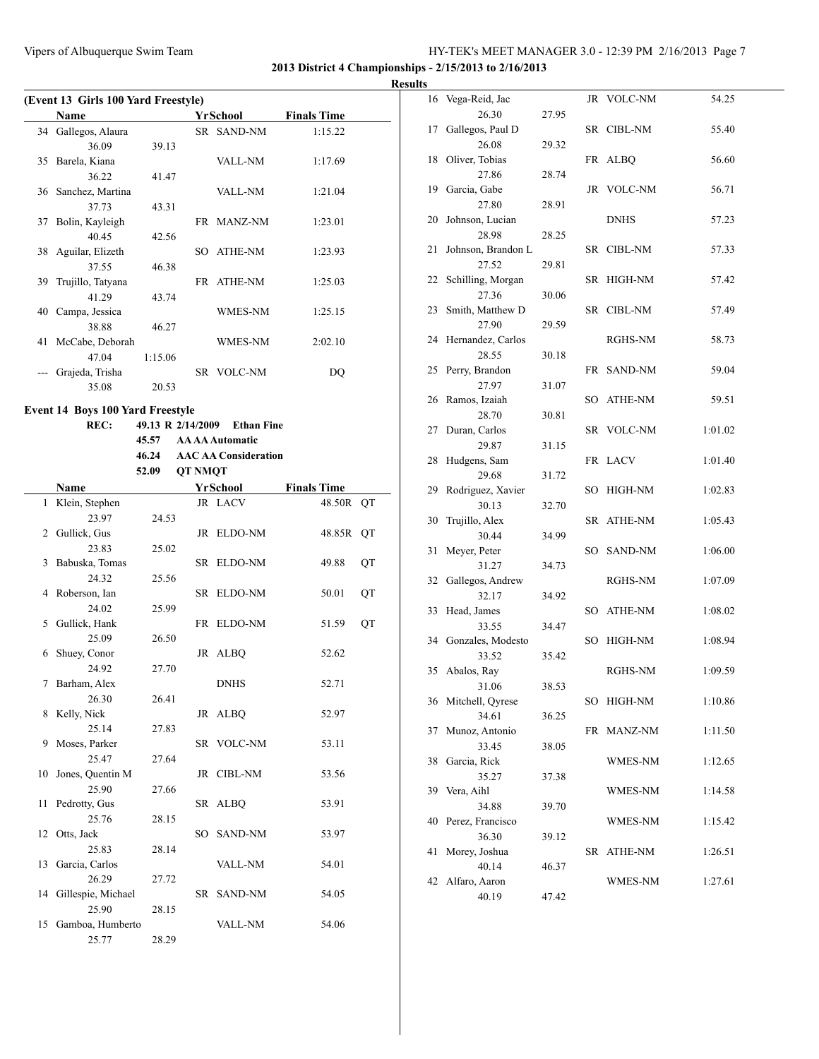**2013 District 4 Championships - 2/15/2013 to 2/16/2013**

**Results**

| (Event 13 Girls 100 Yard Freestyle) |                     |         |     |                |                    |  |  |
|-------------------------------------|---------------------|---------|-----|----------------|--------------------|--|--|
|                                     | <b>Name</b>         |         |     | YrSchool       | <b>Finals Time</b> |  |  |
|                                     | 34 Gallegos, Alaura |         |     | SR SAND-NM     | 1:15.22            |  |  |
|                                     | 36.09               | 39.13   |     |                |                    |  |  |
| 35                                  | Barela, Kiana       |         |     | VALL-NM        | 1:17.69            |  |  |
|                                     | 36.22               | 41.47   |     |                |                    |  |  |
|                                     | 36 Sanchez, Martina |         |     | VALL-NM        | 1:21.04            |  |  |
|                                     | 37.73               | 43.31   |     |                |                    |  |  |
| 37                                  | Bolin, Kayleigh     |         |     | FR MANZ-NM     | 1:23.01            |  |  |
|                                     | 4045                | 42.56   |     |                |                    |  |  |
|                                     | 38 Aguilar, Elizeth |         | SO. | ATHE-NM        | 1:23.93            |  |  |
|                                     | 37.55               | 46.38   |     |                |                    |  |  |
| 39                                  | Trujillo, Tatyana   |         |     | FR ATHE-NM     | 1:25.03            |  |  |
|                                     | 41.29               | 43.74   |     |                |                    |  |  |
|                                     | 40 Campa, Jessica   |         |     | WMES-NM        | 1:25.15            |  |  |
|                                     | 38.88               | 46.27   |     |                |                    |  |  |
| 41                                  | McCabe, Deborah     |         |     | <b>WMES-NM</b> | 2:02.10            |  |  |
|                                     | 47.04               | 1:15.06 |     |                |                    |  |  |
|                                     | Grajeda, Trisha     |         |     | SR VOLC-NM     | DQ                 |  |  |
|                                     | 35.08               | 20.53   |     |                |                    |  |  |
|                                     |                     |         |     |                |                    |  |  |

#### **Event 14 Boys 100 Yard Freestyle**

|    | REC:                  | 49.13 R 2/14/2009 |                | <b>Ethan Fine</b>           |                    |    |
|----|-----------------------|-------------------|----------------|-----------------------------|--------------------|----|
|    |                       | 45.57             |                | <b>AA AA Automatic</b>      |                    |    |
|    |                       | 46.24             |                | <b>AAC AA Consideration</b> |                    |    |
|    |                       | 52.09             | <b>OT NMOT</b> |                             |                    |    |
|    | Name                  |                   |                | YrSchool                    | <b>Finals Time</b> |    |
| 1  | Klein, Stephen        |                   |                | JR LACV                     | 48.50R QT          |    |
|    | 23.97                 | 24.53             |                |                             |                    |    |
|    | 2 Gullick, Gus        |                   |                | JR ELDO-NM                  | 48.85R             | QT |
|    | 23.83                 | 25.02             |                |                             |                    |    |
|    | 3 Babuska, Tomas      |                   |                | SR ELDO-NM                  | 49.88              | QT |
|    | 24.32                 | 25.56             |                |                             |                    |    |
|    | 4 Roberson, Ian       |                   |                | SR ELDO-NM                  | 50.01              | QT |
|    | 24.02                 | 25.99             |                |                             |                    |    |
|    | 5 Gullick, Hank       |                   |                | FR ELDO-NM                  | 51.59              | QT |
|    | 25.09                 | 26.50             |                |                             |                    |    |
|    | 6 Shuey, Conor        |                   |                | JR ALBQ                     | 52.62              |    |
|    | 24.92                 | 27.70             |                |                             |                    |    |
| 7  | Barham, Alex          |                   |                | <b>DNHS</b>                 | 52.71              |    |
|    | 26.30                 | 26.41             |                |                             |                    |    |
| 8  | Kelly, Nick           |                   |                | JR ALBQ                     | 52.97              |    |
|    | 25.14                 | 27.83             |                |                             |                    |    |
| 9  | Moses, Parker         |                   |                | SR VOLC-NM                  | 53.11              |    |
|    | 25.47                 | 27.64             |                |                             |                    |    |
|    | 10 Jones, Quentin M   |                   |                | JR CIBL-NM                  | 53.56              |    |
|    | 25.90                 | 27.66             |                |                             |                    |    |
| 11 | Pedrotty, Gus         |                   |                | SR ALBQ                     | 53.91              |    |
|    | 25.76                 | 28.15             |                |                             |                    |    |
|    | 12 Otts, Jack         |                   | SO -           | <b>SAND-NM</b>              | 53.97              |    |
|    | 25.83                 | 28.14             |                |                             |                    |    |
|    | 13 Garcia, Carlos     |                   |                | VALL-NM                     | 54.01              |    |
|    | 26.29                 | 27.72             |                |                             |                    |    |
|    | 14 Gillespie, Michael |                   |                | SR SAND-NM                  | 54.05              |    |
|    | 25.90                 | 28.15             |                |                             |                    |    |
| 15 | Gamboa, Humberto      |                   |                | <b>VALL-NM</b>              | 54.06              |    |
|    | 25.77                 | 28.29             |                |                             |                    |    |

| 16 | Vega-Reid, Jac       |       |    | JR VOLC-NM | 54.25   |
|----|----------------------|-------|----|------------|---------|
|    | 26.30                | 27.95 |    |            |         |
| 17 | Gallegos, Paul D     |       |    | SR CIBL-NM | 55.40   |
|    | 26.08                | 29.32 |    |            |         |
| 18 | Oliver, Tobias       |       |    | FR ALBQ    | 56.60   |
|    | 27.86                | 28.74 |    |            |         |
| 19 | Garcia, Gabe         |       |    | JR VOLC-NM | 56.71   |
|    | 27.80                | 28.91 |    |            |         |
| 20 | Johnson, Lucian      |       |    | DNHS       | 57.23   |
|    | 28.98                | 28.25 |    |            |         |
| 21 | Johnson, Brandon L   |       | SR | CIBL-NM    | 57.33   |
|    | 27.52                | 29.81 |    |            |         |
|    | 22 Schilling, Morgan |       |    | SR HIGH-NM | 57.42   |
|    | 27.36                | 30.06 |    |            |         |
| 23 | Smith, Matthew D     |       |    | SR CIBL-NM | 57.49   |
|    | 27.90                | 29.59 |    |            |         |
|    | 24 Hernandez, Carlos |       |    | RGHS-NM    | 58.73   |
|    | 28.55                | 30.18 |    |            |         |
|    | 25 Perry, Brandon    |       |    | FR SAND-NM | 59.04   |
|    | 27.97                | 31.07 |    |            |         |
|    | 26 Ramos, Izaiah     |       |    | SO ATHE-NM | 59.51   |
|    | 28.70                | 30.81 |    |            |         |
| 27 | Duran, Carlos        |       |    | SR VOLC-NM | 1:01.02 |
|    | 29.87                | 31.15 |    |            |         |
| 28 | Hudgens, Sam         |       |    | FR LACV    | 1:01.40 |
|    | 29.68                | 31.72 |    |            |         |
| 29 | Rodriguez, Xavier    |       | SO | HIGH-NM    | 1:02.83 |
|    | 30.13                | 32.70 |    |            |         |
| 30 | Trujillo, Alex       |       |    | SR ATHE-NM | 1:05.43 |
|    | 30.44                | 34.99 |    |            |         |
| 31 | Meyer, Peter         |       |    | SO SAND-NM | 1:06.00 |
|    | 31.27                |       |    |            |         |
| 32 | Gallegos, Andrew     | 34.73 |    | RGHS-NM    | 1:07.09 |
|    |                      |       |    |            |         |
|    | 32.17                | 34.92 |    |            |         |
| 33 | Head, James          |       |    | SO ATHE-NM | 1:08.02 |
|    | 33.55                | 34.47 |    |            |         |
|    | 34 Gonzales, Modesto |       | SO | HIGH-NM    | 1:08.94 |
|    | 33.52                | 35.42 |    |            |         |
| 35 | Abalos, Ray          |       |    | RGHS-NM    | 1:09.59 |
|    | 31.06                | 38.53 |    |            |         |
|    | 36 Mitchell, Qyrese  |       | SO | HIGH-NM    | 1:10.86 |
|    | 34.61                | 36.25 |    |            |         |
| 37 | Munoz, Antonio       |       | FR | MANZ-NM    | 1:11.50 |
|    | 33.45                | 38.05 |    |            |         |
| 38 | Garcia, Rick         |       |    | WMES-NM    | 1:12.65 |
|    | 35.27                | 37.38 |    |            |         |
| 39 | Vera, Aihl           |       |    | WMES-NM    | 1:14.58 |
|    | 34.88                | 39.70 |    |            |         |
| 40 | Perez, Francisco     |       |    | WMES-NM    | 1:15.42 |
|    | 36.30                | 39.12 |    |            |         |
| 41 | Morey, Joshua        |       | SR | ATHE-NM    | 1:26.51 |
|    | 40.14                | 46.37 |    |            |         |
| 42 | Alfaro, Aaron        |       |    | WMES-NM    | 1:27.61 |
|    | 40.19                | 47.42 |    |            |         |
|    |                      |       |    |            |         |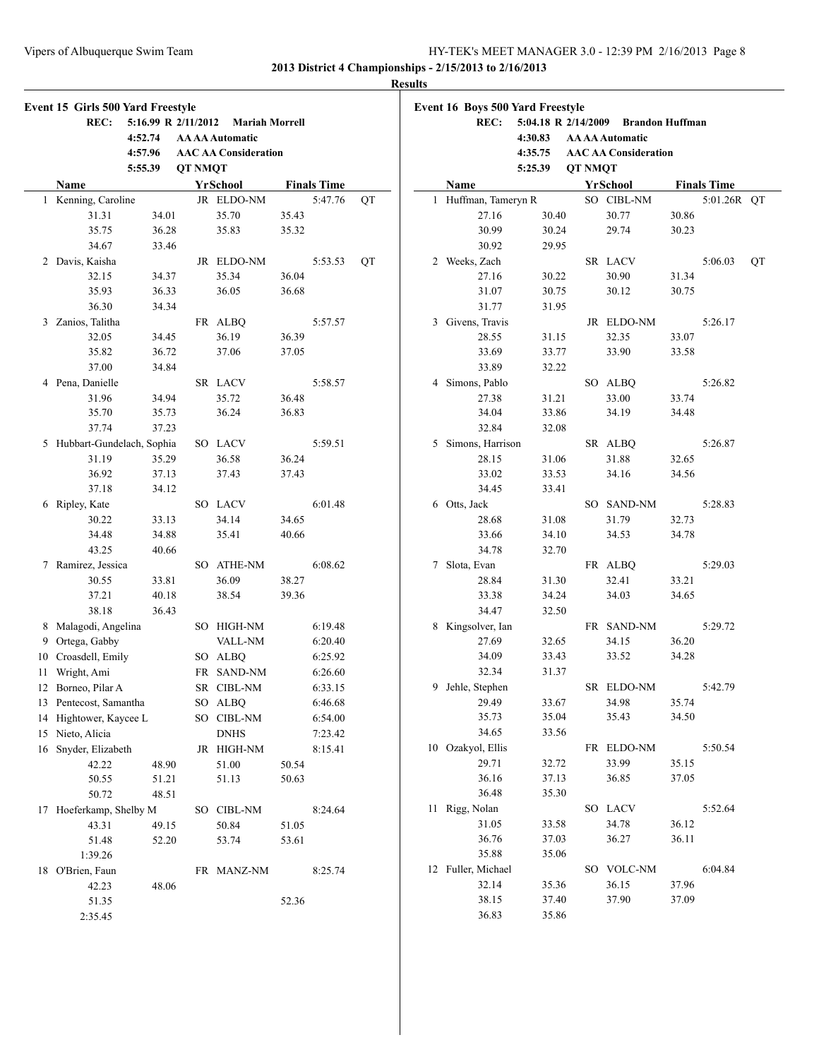#### **Results**

|    | Event 15 Girls 500 Yard Freestyle |                     |         |                             |       |                    |    |
|----|-----------------------------------|---------------------|---------|-----------------------------|-------|--------------------|----|
|    | REC:                              | 5:16.99 R 2/11/2012 |         | <b>Mariah Morrell</b>       |       |                    |    |
|    |                                   | 4:52.74             |         | <b>AA AA Automatic</b>      |       |                    |    |
|    |                                   | 4:57.96             |         | <b>AAC AA Consideration</b> |       |                    |    |
|    |                                   | 5:55.39             | QT NMQT |                             |       |                    |    |
|    | Name                              |                     |         | <b>YrSchool</b>             |       | <b>Finals Time</b> |    |
| 1  | Kenning, Caroline                 |                     |         | JR ELDO-NM                  |       | 5:47.76            | QT |
|    | 31.31                             | 34.01               |         | 35.70                       | 35.43 |                    |    |
|    | 35.75                             | 36.28               |         | 35.83                       | 35.32 |                    |    |
|    | 34.67                             | 33.46               |         |                             |       |                    |    |
| 2  | Davis, Kaisha                     |                     |         | JR ELDO-NM                  |       | 5:53.53            | QT |
|    | 32.15                             | 34.37               |         | 35.34                       | 36.04 |                    |    |
|    | 35.93                             | 36.33               |         | 36.05                       | 36.68 |                    |    |
|    | 36.30                             | 34.34               |         |                             |       |                    |    |
| 3  | Zanios, Talitha                   |                     |         | FR ALBQ                     |       | 5:57.57            |    |
|    | 32.05                             | 34.45               |         | 36.19                       | 36.39 |                    |    |
|    | 35.82                             | 36.72               |         | 37.06                       | 37.05 |                    |    |
|    | 37.00                             | 34.84               |         |                             |       |                    |    |
| 4  | Pena, Danielle                    |                     |         | SR LACV                     |       | 5:58.57            |    |
|    | 31.96                             | 34.94               |         | 35.72                       | 36.48 |                    |    |
|    | 35.70                             | 35.73               |         | 36.24                       | 36.83 |                    |    |
|    | 37.74                             | 37.23               |         |                             |       |                    |    |
| 5  | Hubbart-Gundelach, Sophia         |                     |         | SO LACV                     |       | 5:59.51            |    |
|    | 31.19                             | 35.29               |         | 36.58                       | 36.24 |                    |    |
|    | 36.92                             | 37.13               |         | 37.43                       | 37.43 |                    |    |
|    | 37.18                             | 34.12               |         |                             |       |                    |    |
| 6  | Ripley, Kate                      |                     |         | SO LACV                     |       | 6:01.48            |    |
|    | 30.22                             | 33.13               |         | 34.14                       | 34.65 |                    |    |
|    | 34.48                             | 34.88               |         | 35.41                       | 40.66 |                    |    |
|    | 43.25                             | 40.66               |         |                             |       |                    |    |
| 7  | Ramirez, Jessica                  |                     |         | SO ATHE-NM                  |       | 6:08.62            |    |
|    | 30.55                             | 33.81               |         | 36.09                       | 38.27 |                    |    |
|    | 37.21                             | 40.18               |         | 38.54                       | 39.36 |                    |    |
|    | 38.18                             | 36.43               |         |                             |       |                    |    |
| 8  | Malagodi, Angelina                |                     |         | SO HIGH-NM                  |       | 6:19.48            |    |
|    | 9 Ortega, Gabby                   |                     |         | <b>VALL-NM</b>              |       | 6:20.40            |    |
|    | 10 Croasdell, Emily               |                     |         | SO ALBQ                     |       | 6:25.92            |    |
| 11 | Wright, Ami                       |                     |         | FR SAND-NM                  |       | 6:26.60            |    |
|    |                                   |                     |         |                             |       |                    |    |
|    | 12 Borneo, Pilar A                |                     |         | SR CIBL-NM                  |       | 6:33.15            |    |
| 13 | Pentecost, Samantha               |                     |         | SO ALBQ                     |       | 6:46.68            |    |
|    | 14 Hightower, Kaycee L            |                     |         | SO CIBL-NM                  |       | 6:54.00            |    |
|    | 15 Nieto, Alicia                  |                     |         | <b>DNHS</b>                 |       | 7:23.42            |    |
| 16 | Snyder, Elizabeth                 |                     |         | JR HIGH-NM                  |       | 8:15.41            |    |
|    | 42.22                             | 48.90               |         | 51.00                       | 50.54 |                    |    |
|    | 50.55                             | 51.21               |         | 51.13                       | 50.63 |                    |    |
|    | 50.72                             | 48.51               |         |                             |       |                    |    |
| 17 | Hoeferkamp, Shelby M              |                     |         | SO CIBL-NM                  |       | 8:24.64            |    |
|    | 43.31                             | 49.15               |         | 50.84                       | 51.05 |                    |    |
|    | 51.48                             | 52.20               |         | 53.74                       | 53.61 |                    |    |
|    | 1:39.26                           |                     |         |                             |       |                    |    |
| 18 | O'Brien, Faun                     |                     |         | FR MANZ-NM                  |       | 8:25.74            |    |
|    | 42.23                             | 48.06               |         |                             |       |                    |    |
|    | 51.35                             |                     |         |                             | 52.36 |                    |    |
|    | 2:35.45                           |                     |         |                             |       |                    |    |

|    | <b>Event 16 Boys 500 Yard Freestyle</b> |                                     |                |                             |       |                    |    |
|----|-----------------------------------------|-------------------------------------|----------------|-----------------------------|-------|--------------------|----|
|    | <b>REC:</b>                             | 5:04.18 R 2/14/2009 Brandon Huffman |                |                             |       |                    |    |
|    |                                         | 4:30.83                             |                | <b>AA AA Automatic</b>      |       |                    |    |
|    |                                         | 4:35.75                             |                | <b>AAC AA Consideration</b> |       |                    |    |
|    |                                         | 5:25.39                             | <b>QT NMQT</b> |                             |       |                    |    |
|    | Name                                    |                                     |                | <b>YrSchool</b>             |       | <b>Finals Time</b> |    |
| 1  | Huffman, Tameryn R                      |                                     |                | SO CIBL-NM                  |       | 5:01.26R           | QT |
|    | 27.16                                   | 30.40                               |                | 30.77                       | 30.86 |                    |    |
|    | 30.99                                   | 30.24                               |                | 29.74                       | 30.23 |                    |    |
|    | 30.92                                   | 29.95                               |                |                             |       |                    |    |
|    | 2 Weeks, Zach                           |                                     |                | SR LACV                     |       | 5:06.03            | QT |
|    | 27.16                                   | 30.22                               |                | 30.90                       | 31.34 |                    |    |
|    | 31.07                                   | 30.75                               |                | 30.12                       | 30.75 |                    |    |
|    | 31.77                                   | 31.95                               |                |                             |       |                    |    |
| 3  | Givens, Travis                          |                                     |                | JR ELDO-NM                  |       | 5:26.17            |    |
|    | 28.55                                   | 31.15                               |                | 32.35                       | 33.07 |                    |    |
|    | 33.69                                   | 33.77                               |                | 33.90                       | 33.58 |                    |    |
|    | 33.89                                   | 32.22                               |                |                             |       |                    |    |
|    | 4 Simons, Pablo                         |                                     |                | SO ALBQ                     |       | 5:26.82            |    |
|    | 27.38                                   | 31.21                               |                | 33.00                       | 33.74 |                    |    |
|    | 34.04                                   | 33.86                               |                | 34.19                       | 34.48 |                    |    |
|    | 32.84                                   | 32.08                               |                |                             |       |                    |    |
| 5  | Simons, Harrison                        |                                     |                | SR ALBQ                     |       | 5:26.87            |    |
|    | 28.15                                   | 31.06                               |                | 31.88                       | 32.65 |                    |    |
|    | 33.02                                   | 33.53                               |                | 34.16                       | 34.56 |                    |    |
|    | 34.45                                   | 33.41                               |                |                             |       |                    |    |
|    | 6 Otts, Jack                            |                                     |                | SO SAND-NM                  |       | 5:28.83            |    |
|    | 28.68                                   | 31.08                               |                | 31.79                       | 32.73 |                    |    |
|    | 33.66                                   | 34.10                               |                | 34.53                       | 34.78 |                    |    |
|    | 34.78                                   | 32.70                               |                |                             |       |                    |    |
| 7  | Slota, Evan                             |                                     | FR             | <b>ALBQ</b>                 |       | 5:29.03            |    |
|    | 28.84                                   | 31.30                               |                | 32.41                       | 33.21 |                    |    |
|    | 33.38                                   | 34.24                               |                | 34.03                       | 34.65 |                    |    |
|    | 34.47                                   | 32.50                               |                |                             |       |                    |    |
| 8. | Kingsolver, Ian                         |                                     |                | FR SAND-NM                  |       | 5:29.72            |    |
|    | 27.69                                   | 32.65                               |                | 34.15                       | 36.20 |                    |    |
|    | 34.09                                   | 33.43                               |                | 33.52                       | 34.28 |                    |    |
|    | 32.34                                   | 31.37                               |                |                             |       |                    |    |
| 9. | Jehle, Stephen                          |                                     |                | SR ELDO-NM                  |       | 5:42.79            |    |
|    | 29.49                                   | 33.67                               |                | 34.98                       | 35.74 |                    |    |
|    | 35.73                                   | 35.04                               |                | 35.43                       | 34.50 |                    |    |
|    | 34.65                                   | 33.56                               |                |                             |       |                    |    |
|    | 10 Ozakyol, Ellis                       |                                     |                | FR ELDO-NM                  |       | 5:50.54            |    |
|    | 29.71                                   | 32.72                               |                | 33.99                       | 35.15 |                    |    |
|    | 36.16                                   | 37.13                               |                | 36.85                       | 37.05 |                    |    |
|    | 36.48                                   | 35.30                               |                |                             |       |                    |    |
| 11 | Rigg, Nolan                             |                                     |                | SO LACV                     |       | 5:52.64            |    |
|    | 31.05                                   | 33.58                               |                | 34.78                       | 36.12 |                    |    |
|    | 36.76                                   | 37.03                               |                | 36.27                       | 36.11 |                    |    |
|    | 35.88                                   | 35.06                               |                |                             |       |                    |    |
|    | 12 Fuller, Michael                      |                                     |                | SO VOLC-NM                  |       | 6:04.84            |    |
|    | 32.14                                   | 35.36                               |                | 36.15                       | 37.96 |                    |    |
|    | 38.15                                   | 37.40                               |                | 37.90                       | 37.09 |                    |    |
|    | 36.83                                   | 35.86                               |                |                             |       |                    |    |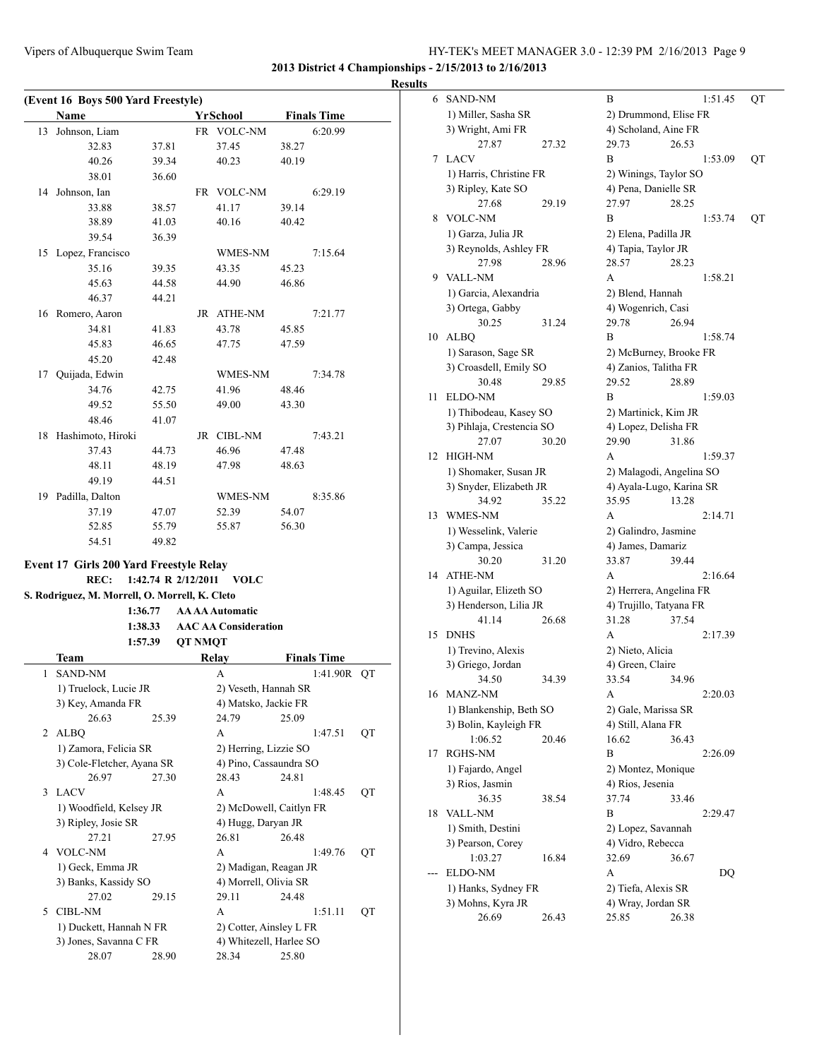**2013 District 4 Championships - 2/15/2013 to 2/16/2013**

|  | <b>Results</b> |  |
|--|----------------|--|
|--|----------------|--|

|    | (Event 16 Boys 500 Yard Freestyle) |       |    |                 |       |                    |
|----|------------------------------------|-------|----|-----------------|-------|--------------------|
|    | Name                               |       |    | <b>YrSchool</b> |       | <b>Finals Time</b> |
| 13 | Johnson, Liam                      |       |    | FR VOLC-NM      |       | 6:20.99            |
|    | 32.83                              | 37.81 |    | 37.45           | 38.27 |                    |
|    | 40.26                              | 39.34 |    | 40.23           | 40.19 |                    |
|    | 38.01                              | 36.60 |    |                 |       |                    |
| 14 | Johnson, Ian                       |       |    | FR VOLC-NM      |       | 6:29.19            |
|    | 33.88                              | 38.57 |    | 41.17           | 39.14 |                    |
|    | 38.89                              | 41.03 |    | 40.16           | 40.42 |                    |
|    | 39.54                              | 36.39 |    |                 |       |                    |
| 15 | Lopez, Francisco                   |       |    | WMES-NM         |       | 7:15.64            |
|    | 35.16                              | 39.35 |    | 43.35           | 45.23 |                    |
|    | 45.63                              | 44.58 |    | 44.90           | 46.86 |                    |
|    | 46.37                              | 44.21 |    |                 |       |                    |
| 16 | Romero, Aaron                      |       |    | JR ATHE-NM      |       | 7:21.77            |
|    | 34.81                              | 41.83 |    | 43.78           | 45.85 |                    |
|    | 45.83                              | 46.65 |    | 47.75           | 47.59 |                    |
|    | 45.20                              | 42.48 |    |                 |       |                    |
| 17 | Quijada, Edwin                     |       |    | WMES-NM         |       | 7:34.78            |
|    | 34.76                              | 42.75 |    | 41.96           | 48.46 |                    |
|    | 49.52                              | 55.50 |    | 49.00           | 43.30 |                    |
|    | 48.46                              | 41.07 |    |                 |       |                    |
| 18 | Hashimoto, Hiroki                  |       | JR | <b>CIBL-NM</b>  |       | 7:43.21            |
|    | 37.43                              | 44.73 |    | 46.96           | 47.48 |                    |
|    | 48.11                              | 48.19 |    | 47.98           | 48.63 |                    |
|    | 49.19                              | 44.51 |    |                 |       |                    |
| 19 | Padilla, Dalton                    |       |    | WMES-NM         |       | 8:35.86            |
|    | 37.19                              | 47.07 |    | 52.39           | 54.07 |                    |
|    | 52.85                              | 55.79 |    | 55.87           | 56.30 |                    |
|    | 54.51                              | 49.82 |    |                 |       |                    |
|    |                                    |       |    |                 |       |                    |

### **Event 17 Girls 200 Yard Freestyle Relay**

**REC: 1:42.74 R 2/12/2011 VOLC**

**S. Rodriguez, M. Morrell, O. Morrell, K. Cleto**

#### **1:36.77 AA AA Automatic 1:38.33 AAC AA Consideration**

|                | 1:57.39                    |       | <b>QT NMQT</b>          |       |                    |    |
|----------------|----------------------------|-------|-------------------------|-------|--------------------|----|
|                | Team                       |       | Relay                   |       | <b>Finals Time</b> |    |
| 1              | <b>SAND-NM</b>             |       | A                       |       | 1:41.90R OT        |    |
|                | 1) Truelock, Lucie JR      |       | 2) Veseth, Hannah SR    |       |                    |    |
|                | 3) Key, Amanda FR          |       | 4) Matsko, Jackie FR    |       |                    |    |
|                | 26.63                      | 25.39 | 24.79                   | 25.09 |                    |    |
| $\mathfrak{D}$ | <b>ALBO</b>                |       | A                       |       | 1:47.51            | QT |
|                | 1) Zamora, Felicia SR      |       | 2) Herring, Lizzie SO   |       |                    |    |
|                | 3) Cole-Fletcher, Ayana SR |       | 4) Pino, Cassaundra SO  |       |                    |    |
|                | 26.97                      | 27.30 | 28.43                   | 24.81 |                    |    |
| $\mathcal{L}$  | <b>LACV</b>                |       | A                       |       | 1:48.45            | QT |
|                | 1) Woodfield, Kelsey JR    |       | 2) McDowell, Caitlyn FR |       |                    |    |
|                | 3) Ripley, Josie SR        |       | 4) Hugg, Daryan JR      |       |                    |    |
|                | 27.21                      | 27.95 | 26.81                   | 26.48 |                    |    |
| 4              | <b>VOLC-NM</b>             |       | A                       |       | 1:49.76            | QT |
|                | 1) Geck, Emma JR           |       | 2) Madigan, Reagan JR   |       |                    |    |
|                | 3) Banks, Kassidy SO       |       | 4) Morrell, Olivia SR   |       |                    |    |
|                | 27.02                      | 29.15 | 29.11                   | 24.48 |                    |    |
| 5              | CIBL-NM                    |       | A                       |       | 1:51.11            | QT |
|                | 1) Duckett, Hannah N FR    |       | 2) Cotter, Ainsley L FR |       |                    |    |
|                | 3) Jones, Savanna C FR     |       | 4) Whitezell, Harlee SO |       |                    |    |
|                | 28.07                      | 28.90 | 28.34                   | 25.80 |                    |    |

| 6  | <b>SAND-NM</b>            |       | В                        |       | 1:51.45 | QT |
|----|---------------------------|-------|--------------------------|-------|---------|----|
|    | 1) Miller, Sasha SR       |       | 2) Drummond, Elise FR    |       |         |    |
|    | 3) Wright, Ami FR         |       | 4) Scholand, Aine FR     |       |         |    |
|    | 27.87                     | 27.32 | 29.73                    | 26.53 |         |    |
| 7  | LACV                      |       | B                        |       | 1:53.09 | QT |
|    | 1) Harris, Christine FR   |       | 2) Winings, Taylor SO    |       |         |    |
|    | 3) Ripley, Kate SO        |       | 4) Pena, Danielle SR     |       |         |    |
|    | 27.68                     | 29.19 | 27.97                    | 28.25 |         |    |
| 8  | <b>VOLC-NM</b>            |       | В                        |       | 1:53.74 | QT |
|    | 1) Garza, Julia JR        |       | 2) Elena, Padilla JR     |       |         |    |
|    | 3) Reynolds, Ashley FR    |       |                          |       |         |    |
|    |                           |       | 4) Tapia, Taylor JR      |       |         |    |
|    | 27.98                     | 28.96 | 28.57                    | 28.23 |         |    |
| 9  | <b>VALL-NM</b>            |       | A                        |       | 1:58.21 |    |
|    | 1) Garcia, Alexandria     |       | 2) Blend, Hannah         |       |         |    |
|    | 3) Ortega, Gabby          |       | 4) Wogenrich, Casi       |       |         |    |
|    | 30.25                     | 31.24 | 29.78                    | 26.94 |         |    |
| 10 | ALBQ                      |       | B                        |       | 1:58.74 |    |
|    | 1) Sarason, Sage SR       |       | 2) McBurney, Brooke FR   |       |         |    |
|    | 3) Croasdell, Emily SO    |       | 4) Zanios, Talitha FR    |       |         |    |
|    | 30.48                     | 29.85 | 29.52                    | 28.89 |         |    |
| 11 | ELDO-NM                   |       | B                        |       | 1:59.03 |    |
|    | 1) Thibodeau, Kasey SO    |       | 2) Martinick, Kim JR     |       |         |    |
|    | 3) Pihlaja, Crestencia SO |       | 4) Lopez, Delisha FR     |       |         |    |
|    | 27.07                     | 30.20 | 29.90                    | 31.86 |         |    |
| 12 | HIGH-NM                   |       | А                        |       | 1:59.37 |    |
|    | 1) Shomaker, Susan JR     |       | 2) Malagodi, Angelina SO |       |         |    |
|    | 3) Snyder, Elizabeth JR   |       | 4) Ayala-Lugo, Karina SR |       |         |    |
|    | 34.92                     | 35.22 | 35.95                    | 13.28 |         |    |
| 13 | WMES-NM                   |       | А                        |       | 2:14.71 |    |
|    | 1) Wesselink, Valerie     |       | 2) Galindro, Jasmine     |       |         |    |
|    | 3) Campa, Jessica         |       | 4) James, Damariz        |       |         |    |
|    | 30.20                     | 31.20 | 33.87                    | 39.44 |         |    |
| 14 | <b>ATHE-NM</b>            |       | A                        |       | 2:16.64 |    |
|    | 1) Aguilar, Elizeth SO    |       | 2) Herrera, Angelina FR  |       |         |    |
|    | 3) Henderson, Lilia JR    |       | 4) Trujillo, Tatyana FR  |       |         |    |
|    | 41.14                     | 26.68 | 31.28                    | 37.54 |         |    |
| 15 | <b>DNHS</b>               |       | A                        |       | 2:17.39 |    |
|    |                           |       |                          |       |         |    |
|    | 1) Trevino, Alexis        |       | 2) Nieto, Alicia         |       |         |    |
|    | 3) Griego, Jordan         |       | 4) Green, Claire         |       |         |    |
|    | 34.50                     | 34.39 | 33.54                    | 34.96 |         |    |
| 16 | MANZ-NM                   |       | А                        |       | 2:20.03 |    |
|    | 1) Blankenship, Beth SO   |       | 2) Gale, Marissa SR      |       |         |    |
|    | 3) Bolin, Kayleigh FR     |       | 4) Still, Alana FR       |       |         |    |
|    | 1:06.52                   | 20.46 | 16.62                    | 36.43 |         |    |
| 17 | RGHS-NM                   |       | В                        |       | 2:26.09 |    |
|    | 1) Fajardo, Angel         |       | 2) Montez, Monique       |       |         |    |
|    | 3) Rios, Jasmin           |       | 4) Rios, Jesenia         |       |         |    |
|    | 36.35                     | 38.54 | 37.74                    | 33.46 |         |    |
| 18 | VALL-NM                   |       | В                        |       | 2:29.47 |    |
|    | 1) Smith, Destini         |       | 2) Lopez, Savannah       |       |         |    |
|    | 3) Pearson, Corey         |       | 4) Vidro, Rebecca        |       |         |    |
|    | 1:03.27                   | 16.84 | 32.69                    | 36.67 |         |    |
|    | <b>ELDO-NM</b>            |       | А                        |       | DQ      |    |
|    | 1) Hanks, Sydney FR       |       | 2) Tiefa, Alexis SR      |       |         |    |
|    | 3) Mohns, Kyra JR         |       | 4) Wray, Jordan SR       |       |         |    |
|    | 26.69                     | 26.43 | 25.85                    | 26.38 |         |    |
|    |                           |       |                          |       |         |    |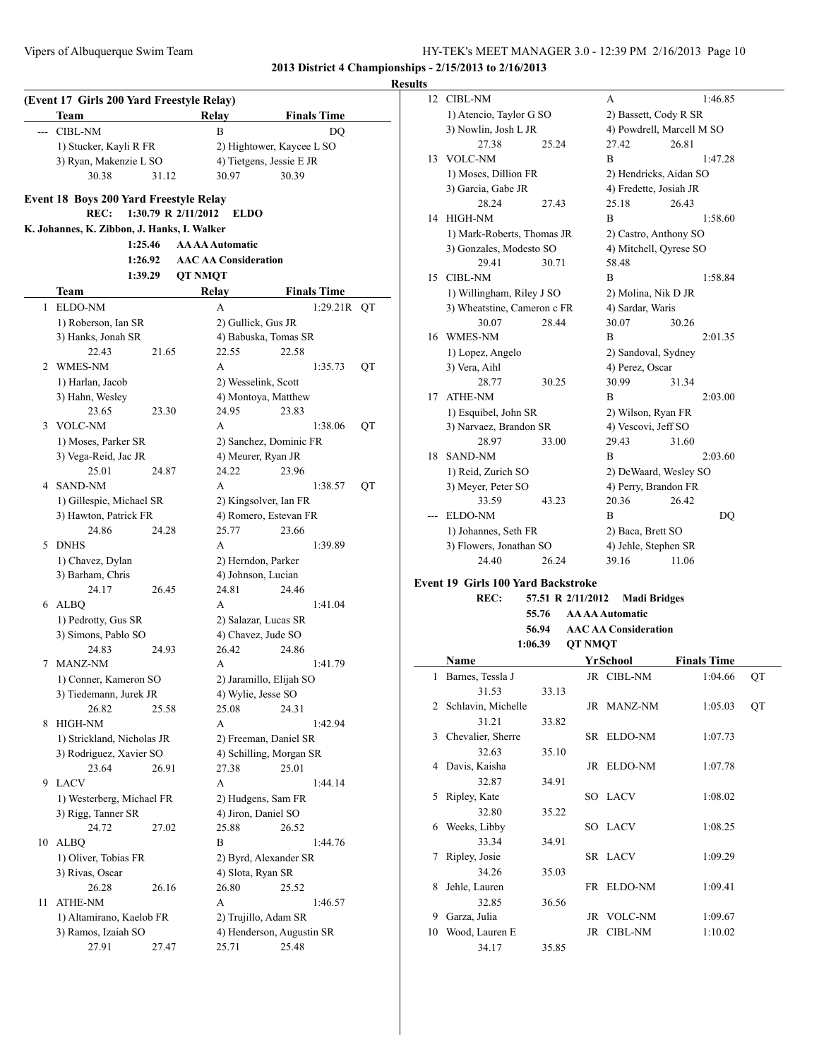#### **Results**

|       | Team                                        |       | <b>Relay</b>                |                           | <b>Finals Time</b> |    |
|-------|---------------------------------------------|-------|-----------------------------|---------------------------|--------------------|----|
| $---$ | <b>CIBL-NM</b>                              |       | B                           |                           | DQ                 |    |
|       | 1) Stucker, Kayli R FR                      |       |                             | 2) Hightower, Kaycee L SO |                    |    |
|       | 3) Ryan, Makenzie L SO                      |       |                             | 4) Tietgens, Jessie E JR  |                    |    |
|       | 30.38                                       | 31.12 | 30.97                       | 30.39                     |                    |    |
|       | Event 18 Boys 200 Yard Freestyle Relay      |       |                             |                           |                    |    |
|       | REC:                                        |       | 1:30.79 R 2/11/2012         | <b>ELDO</b>               |                    |    |
|       | K. Johannes, K. Zibbon, J. Hanks, I. Walker |       |                             |                           |                    |    |
|       | 1:25.46                                     |       | <b>AA AA Automatic</b>      |                           |                    |    |
|       | 1:26.92                                     |       | <b>AAC AA Consideration</b> |                           |                    |    |
|       | 1:39.29                                     |       | <b>OT NMOT</b>              |                           |                    |    |
|       | Team                                        |       | <b>Relay</b>                |                           | <b>Finals Time</b> |    |
| 1     | ELDO-NM                                     |       | A                           |                           | 1:29.21R           | QT |
|       | 1) Roberson, Ian SR                         |       |                             | 2) Gullick, Gus JR        |                    |    |
|       | 3) Hanks, Jonah SR                          |       |                             | 4) Babuska, Tomas SR      |                    |    |
|       | 22.43                                       | 21.65 | 22.55                       | 22.58                     |                    |    |
| 2     | WMES-NM                                     |       | A                           |                           | 1:35.73            | QT |
|       | 1) Harlan, Jacob                            |       |                             | 2) Wesselink, Scott       |                    |    |
|       | 3) Hahn, Wesley                             |       |                             | 4) Montoya, Matthew       |                    |    |
|       | 23.65                                       | 23.30 | 24.95                       | 23.83                     |                    |    |
|       | 3 VOLC-NM                                   |       | A                           |                           | 1:38.06            | QT |
|       | 1) Moses, Parker SR                         |       |                             | 2) Sanchez, Dominic FR    |                    |    |
|       | 3) Vega-Reid, Jac JR                        |       |                             | 4) Meurer, Ryan JR        |                    |    |
|       | 25.01                                       | 24.87 | 24.22                       | 23.96                     |                    |    |
| 4     | SAND-NM                                     |       | A                           |                           | 1:38.57            | QT |
|       | 1) Gillespie, Michael SR                    |       |                             | 2) Kingsolver, Ian FR     |                    |    |
|       | 3) Hawton, Patrick FR                       |       |                             | 4) Romero, Estevan FR     |                    |    |
|       | 24.86                                       | 24.28 | 25.77                       | 23.66                     |                    |    |
| 5     | <b>DNHS</b>                                 |       | A                           |                           | 1:39.89            |    |
|       | 1) Chavez, Dylan                            |       |                             | 2) Herndon, Parker        |                    |    |
|       | 3) Barham, Chris                            |       |                             | 4) Johnson, Lucian        |                    |    |
|       | 24.17                                       | 26.45 | 24.81                       | 24.46                     |                    |    |
| 6     | ALBO                                        |       | A                           |                           | 1:41.04            |    |
|       | 1) Pedrotty, Gus SR                         |       |                             | 2) Salazar, Lucas SR      |                    |    |
|       | 3) Simons, Pablo SO                         |       |                             | 4) Chavez, Jude SO        |                    |    |
|       | 24.83                                       | 24.93 | 26.42                       | 24.86                     |                    |    |
| 7     | <b>MANZ-NM</b>                              |       | A                           |                           | 1:41.79            |    |
|       | 1) Conner, Kameron SO                       |       |                             | 2) Jaramillo, Elijah SO   |                    |    |
|       | 3) Tiedemann, Jurek JR                      |       |                             | 4) Wylie, Jesse SO        |                    |    |
|       | 26.82                                       | 25.58 | 25.08                       | 24.31                     |                    |    |
| 8     | HIGH-NM                                     |       | A                           |                           | 1:42.94            |    |
|       | 1) Strickland, Nicholas JR                  |       |                             | 2) Freeman, Daniel SR     |                    |    |
|       | 3) Rodriguez, Xavier SO                     |       |                             | 4) Schilling, Morgan SR   |                    |    |
|       | 23.64                                       | 26.91 | 27.38                       | 25.01                     |                    |    |
| 9     | <b>LACV</b>                                 |       | A                           |                           | 1:44.14            |    |
|       | 1) Westerberg, Michael FR                   |       |                             | 2) Hudgens, Sam FR        |                    |    |
|       | 3) Rigg, Tanner SR                          |       |                             | 4) Jiron, Daniel SO       |                    |    |
|       | 24.72                                       | 27.02 | 25.88                       | 26.52                     |                    |    |
| 10    | ALBQ                                        |       | B                           |                           | 1:44.76            |    |
|       | 1) Oliver, Tobias FR                        |       |                             | 2) Byrd, Alexander SR     |                    |    |
|       | 3) Rivas, Oscar                             |       |                             | 4) Slota, Ryan SR         |                    |    |
|       | 26.28                                       | 26.16 | 26.80                       | 25.52                     |                    |    |
| 11    | ATHE-NM                                     |       | A                           |                           | 1:46.57            |    |
|       | 1) Altamirano, Kaelob FR                    |       |                             | 2) Trujillo, Adam SR      |                    |    |
|       | 3) Ramos, Izaiah SO                         |       |                             | 4) Henderson, Augustin SR |                    |    |
|       | 27.91                                       | 27.47 | 25.71                       | 25.48                     |                    |    |

| 12  | <b>CIBL-NM</b>                            |                   |                | А                           | 1:46.85                   |    |
|-----|-------------------------------------------|-------------------|----------------|-----------------------------|---------------------------|----|
|     | 1) Atencio, Taylor G SO                   |                   |                | 2) Bassett, Cody R SR       |                           |    |
|     | 3) Nowlin, Josh L JR                      |                   |                |                             | 4) Powdrell, Marcell M SO |    |
|     | 27.38                                     | 25.24             |                | 27.42                       | 26.81                     |    |
| 13  | <b>VOLC-NM</b>                            |                   |                | R                           | 1:47.28                   |    |
|     | 1) Moses, Dillion FR                      |                   |                | 2) Hendricks, Aidan SO      |                           |    |
|     | 3) Garcia, Gabe JR                        |                   |                | 4) Fredette, Josiah JR      |                           |    |
|     | 28.24                                     | 27.43             |                | 25.18                       | 26.43                     |    |
| 14  | HIGH-NM                                   |                   |                | B                           | 1:58.60                   |    |
|     | 1) Mark-Roberts, Thomas JR                |                   |                | 2) Castro, Anthony SO       |                           |    |
|     | 3) Gonzales, Modesto SO                   |                   |                | 4) Mitchell, Qyrese SO      |                           |    |
|     | 29.41                                     | 30.71             |                | 58.48                       |                           |    |
| 15  | <b>CIBL-NM</b>                            |                   |                | B                           | 1:58.84                   |    |
|     | 1) Willingham, Riley J SO                 |                   |                | 2) Molina, Nik D JR         |                           |    |
|     | 3) Wheatstine, Cameron c FR               |                   |                | 4) Sardar, Waris            |                           |    |
|     | 30.07                                     | 28.44             |                | 30.07                       | 30.26                     |    |
| 16  | <b>WMES-NM</b>                            |                   |                | B                           | 2:01.35                   |    |
|     | 1) Lopez, Angelo                          |                   |                | 2) Sandoval, Sydney         |                           |    |
|     | 3) Vera, Aihl                             |                   |                | 4) Perez, Oscar             |                           |    |
|     | 28.77                                     | 30.25             |                | 30.99                       | 31.34                     |    |
| 17  | ATHE-NM                                   |                   |                | B                           | 2:03.00                   |    |
|     | 1) Esquibel, John SR                      |                   |                | 2) Wilson, Ryan FR          |                           |    |
|     | 3) Narvaez, Brandon SR                    |                   |                | 4) Vescovi, Jeff SO         |                           |    |
|     | 28.97                                     | 33.00             |                | 29.43                       | 31.60                     |    |
| 18  | <b>SAND-NM</b>                            |                   |                | B                           | 2:03.60                   |    |
|     | 1) Reid, Zurich SO                        |                   |                | 2) DeWaard, Wesley SO       |                           |    |
|     | 3) Meyer, Peter SO                        |                   |                | 4) Perry, Brandon FR        |                           |    |
|     | 33.59                                     | 43.23             |                | 20.36                       | 26.42                     |    |
| --- | <b>ELDO-NM</b>                            |                   |                | B                           | DQ                        |    |
|     | 1) Johannes, Seth FR                      |                   |                | 2) Baca, Brett SO           |                           |    |
|     | 3) Flowers, Jonathan SO                   |                   |                | 4) Jehle, Stephen SR        |                           |    |
|     | 24.40                                     | 26.24             |                | 39.16                       | 11.06                     |    |
|     | <b>Event 19 Girls 100 Yard Backstroke</b> |                   |                |                             |                           |    |
|     | REC:                                      | 57.51 R 2/11/2012 |                | <b>Madi Bridges</b>         |                           |    |
|     |                                           | 55.76             |                | <b>AA AA Automatic</b>      |                           |    |
|     |                                           | 56.94             |                | <b>AAC AA Consideration</b> |                           |    |
|     |                                           | 1:06.39           | <b>QT NMQT</b> |                             |                           |    |
|     | Name                                      |                   |                | <b>YrSchool</b>             | <b>Finals Time</b>        |    |
| 1   | Barnes, Tessla J                          |                   |                | JR CIBL-NM                  | 1:04.66                   | QT |
|     | 31.53                                     | 33.13             |                |                             |                           |    |
| 2   | Schlavin, Michelle                        |                   |                | JR MANZ-NM                  | 1:05.03                   | QT |
|     | 31.21                                     | 33.82             |                |                             |                           |    |
| 3   | Chevalier, Sherre                         |                   | SR             | ELDO-NM                     | 1:07.73                   |    |
|     | 32.63                                     | 35.10             |                |                             |                           |    |
| 4   | Davis, Kaisha                             |                   | JR             | ELDO-NM                     | 1:07.78                   |    |
|     | 32.87                                     | 34.91             |                |                             |                           |    |

5 Ripley, Kate SO LACV 1:08.02

6 Weeks, Libby SO LACV 1:08.25

7 Ripley, Josie SR LACV 1:09.29

8 Jehle, Lauren FR ELDO-NM 1:09.41

9 Garza, Julia JR VOLC-NM 1:09.67 10 Wood, Lauren E JR CIBL-NM 1:10.02

32.80 35.22

33.34 34.91

34.26 35.03

32.85 36.56

34.17 35.85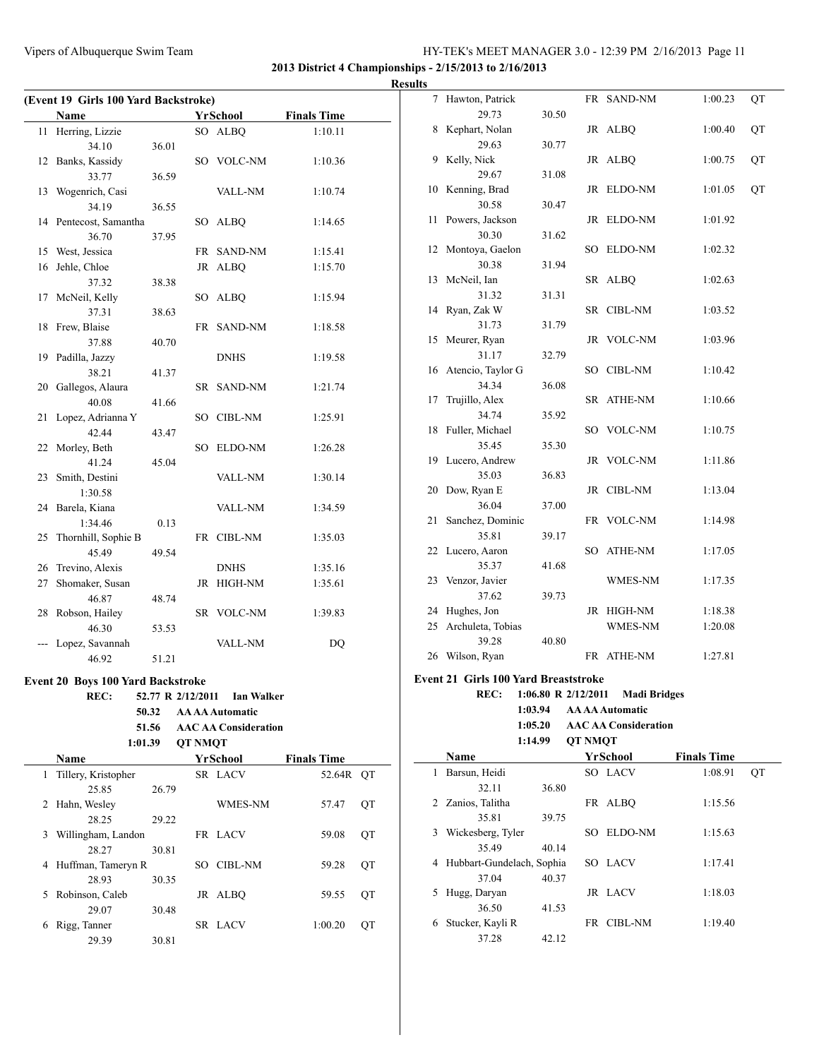### **2013 District 4 Championships - 2/15/2013 to 2/16/2013**

|    | <b>Name</b>                              |       |                   | YrSchool          | <b>Finals Time</b> |
|----|------------------------------------------|-------|-------------------|-------------------|--------------------|
| 11 | Herring, Lizzie                          |       |                   | SO ALBQ           | 1:10.11            |
|    | 34.10                                    | 36.01 |                   |                   |                    |
|    | 12 Banks, Kassidy                        |       |                   | SO VOLC-NM        | 1:10.36            |
|    | 33.77                                    | 36.59 |                   |                   |                    |
| 13 | Wogenrich, Casi                          |       |                   | VALL-NM           | 1:10.74            |
|    | 34.19                                    | 36.55 |                   |                   |                    |
|    | 14 Pentecost, Samantha                   |       |                   | SO ALBQ           | 1:14.65            |
|    | 36.70                                    | 37.95 |                   |                   |                    |
|    | 15 West, Jessica                         |       |                   | FR SAND-NM        | 1:15.41            |
|    | 16 Jehle, Chloe                          |       | JR                | <b>ALBO</b>       | 1:15.70            |
|    | 37.32                                    | 38.38 |                   |                   |                    |
| 17 | McNeil, Kelly                            |       | SO                | ALBQ              | 1:15.94            |
|    | 37.31                                    | 38.63 |                   |                   |                    |
| 18 | Frew, Blaise                             |       | FR                | <b>SAND-NM</b>    | 1:18.58            |
|    | 37.88                                    | 40.70 |                   |                   |                    |
|    | 19 Padilla, Jazzy                        |       |                   | <b>DNHS</b>       | 1:19.58            |
|    | 38.21                                    | 41.37 |                   |                   |                    |
|    | 20 Gallegos, Alaura                      |       |                   | SR SAND-NM        | 1:21.74            |
|    | 40.08                                    | 41.66 |                   |                   |                    |
| 21 | Lopez, Adrianna Y                        |       |                   | SO CIBL-NM        | 1:25.91            |
|    | 42.44                                    | 43.47 |                   |                   |                    |
|    | 22 Morley, Beth                          |       |                   | SO ELDO-NM        | 1:26.28            |
|    | 41.24                                    | 45.04 |                   |                   |                    |
| 23 | Smith, Destini                           |       |                   | VALL-NM           | 1:30.14            |
|    | 1:30.58                                  |       |                   |                   |                    |
|    | 24 Barela, Kiana                         |       |                   | VALL-NM           | 1:34.59            |
|    | 1:34.46                                  | 0.13  |                   |                   |                    |
|    | 25 Thornhill, Sophie B                   |       |                   | FR CIBL-NM        | 1:35.03            |
|    | 45.49                                    | 49.54 |                   |                   |                    |
|    | 26 Trevino, Alexis                       |       |                   | <b>DNHS</b>       | 1:35.16            |
|    | 27 Shomaker, Susan                       |       | JR.               | HIGH-NM           | 1:35.61            |
|    | 46.87                                    | 48.74 |                   |                   |                    |
|    | 28 Robson, Hailey                        |       |                   | SR VOLC-NM        | 1:39.83            |
|    | 46.30                                    | 53.53 |                   |                   |                    |
|    | --- Lopez, Savannah                      |       |                   | VALL-NM           | D <sub>O</sub>     |
|    | 46.92                                    | 51.21 |                   |                   |                    |
|    | <b>Event 20 Boys 100 Yard Backstroke</b> |       |                   |                   |                    |
|    | REC:                                     |       | 52.77 R 2/12/2011 | <b>Ian Walker</b> |                    |

|       | $54.11 \text{ K}$ 4/14/4011 | тап waikei |
|-------|-----------------------------|------------|
| 50.32 | <b>AA AA Automatic</b>      |            |

## **51.56 AAC AA Consideration**

|    | 1:01.39             |       | <b>OT NMOT</b> |                |                    |    |
|----|---------------------|-------|----------------|----------------|--------------------|----|
|    | Name                |       |                | YrSchool       | <b>Finals Time</b> |    |
| 1  | Tillery, Kristopher |       |                | SR LACV        | 52.64R OT          |    |
|    | 25.85               | 26.79 |                |                |                    |    |
| 2  | Hahn, Wesley        |       |                | <b>WMES-NM</b> | 57.47              | QT |
|    | 28.25               | 29.22 |                |                |                    |    |
| 3  | Willingham, Landon  |       |                | FR LACV        | 59.08              | ОT |
|    | 28.27               | 30.81 |                |                |                    |    |
| 4  | Huffman, Tameryn R  |       |                | SO CIBL-NM     | 59.28              | ОT |
|    | 28.93               | 30.35 |                |                |                    |    |
| 5. | Robinson, Caleb     |       |                | JR ALBO        | 59.55              | ОT |
|    | 29.07               | 30.48 |                |                |                    |    |
| 6  | Rigg, Tanner        |       |                | SR LACV        | 1:00.20            | ОT |
|    | 29.39               | 30.81 |                |                |                    |    |
|    |                     |       |                |                |                    |    |

| <b>Results</b> |                      |       |            |         |    |
|----------------|----------------------|-------|------------|---------|----|
|                | 7 Hawton, Patrick    |       | FR SAND-NM | 1:00.23 | QT |
|                | 29.73                | 30.50 |            |         |    |
|                | 8 Kephart, Nolan     |       | JR ALBQ    | 1:00.40 | QT |
|                | 29.63                | 30.77 |            |         |    |
| 9              | Kelly, Nick          |       | JR ALBO    | 1:00.75 | QT |
|                | 29.67                | 31.08 |            |         |    |
|                | 10 Kenning, Brad     |       | JR ELDO-NM | 1:01.05 | QT |
|                | 30.58                | 30.47 |            |         |    |
|                | 11 Powers, Jackson   |       | JR ELDO-NM | 1:01.92 |    |
|                | 30.30                | 31.62 |            |         |    |
|                | 12 Montoya, Gaelon   |       | SO ELDO-NM | 1:02.32 |    |
|                | 30.38                | 31.94 |            |         |    |
|                | 13 McNeil, Ian       |       | SR ALBQ    | 1:02.63 |    |
|                | 31.32                | 31.31 |            |         |    |
|                | 14 Ryan, Zak W       |       | SR CIBL-NM | 1:03.52 |    |
|                | 31.73                | 31.79 |            |         |    |
|                | 15 Meurer, Ryan      |       | JR VOLC-NM | 1:03.96 |    |
|                | 31.17                | 32.79 |            |         |    |
|                | 16 Atencio, Taylor G |       | SO CIBL-NM | 1:10.42 |    |
|                | 34.34                | 36.08 |            |         |    |
| 17             | Trujillo, Alex       |       | SR ATHE-NM | 1:10.66 |    |
|                | 34.74                | 35.92 |            |         |    |
|                | 18 Fuller, Michael   |       | SO VOLC-NM | 1:10.75 |    |
|                | 35.45                | 35.30 |            |         |    |
|                | 19 Lucero, Andrew    |       | JR VOLC-NM | 1:11.86 |    |
|                | 35.03                | 36.83 |            |         |    |
|                | 20 Dow, Ryan E       |       | JR CIBL-NM | 1:13.04 |    |
|                | 36.04                | 37.00 |            |         |    |
|                | 21 Sanchez, Dominic  |       | FR VOLC-NM | 1:14.98 |    |
|                | 35.81                | 39.17 |            |         |    |
|                | 22 Lucero, Aaron     |       | SO ATHE-NM | 1:17.05 |    |
|                | 35.37                | 41.68 |            |         |    |
|                | 23 Venzor, Javier    |       | WMES-NM    | 1:17.35 |    |
|                | 37.62                | 39.73 |            |         |    |
|                | 24 Hughes, Jon       |       | JR HIGH-NM | 1:18.38 |    |
|                | 25 Archuleta, Tobias |       | WMES-NM    | 1:20.08 |    |
|                | 39.28                | 40.80 |            |         |    |
|                | 26 Wilson, Ryan      |       | FR ATHE-NM | 1:27.81 |    |
|                |                      |       |            |         |    |

#### **Event 21 Girls 100 Yard Breaststroke**

 $\overline{a}$ 

**REC: 1:06.80 R 2/12/2011 Madi Bridges 1:03.94 AA AA Automatic 1:05.20 AAC AA Consideration**

**1:14.99 QT NMQT**

|   | <b>Name</b>               |       |    | YrSchool | <b>Finals Time</b> |    |
|---|---------------------------|-------|----|----------|--------------------|----|
|   | Barsun, Heidi             |       |    | SO LACV  | 1:08.91            | ОT |
|   | 32.11                     | 36.80 |    |          |                    |    |
| 2 | Zanios, Talitha           |       |    | FR ALBO  | 1:15.56            |    |
|   | 35.81                     | 39.75 |    |          |                    |    |
| 3 | Wickesberg, Tyler         |       | SO | ELDO-NM  | 1:15.63            |    |
|   | 35.49                     | 40.14 |    |          |                    |    |
| 4 | Hubbart-Gundelach, Sophia |       |    | SO LACV  | 1:17.41            |    |
|   | 37.04                     | 40.37 |    |          |                    |    |
| 5 | Hugg, Daryan              |       |    | JR LACV  | 1:18.03            |    |
|   | 36.50                     | 41.53 |    |          |                    |    |
| 6 | Stucker, Kayli R          |       | FR | CIBL-NM  | 1:19.40            |    |
|   | 37.28                     | 42.12 |    |          |                    |    |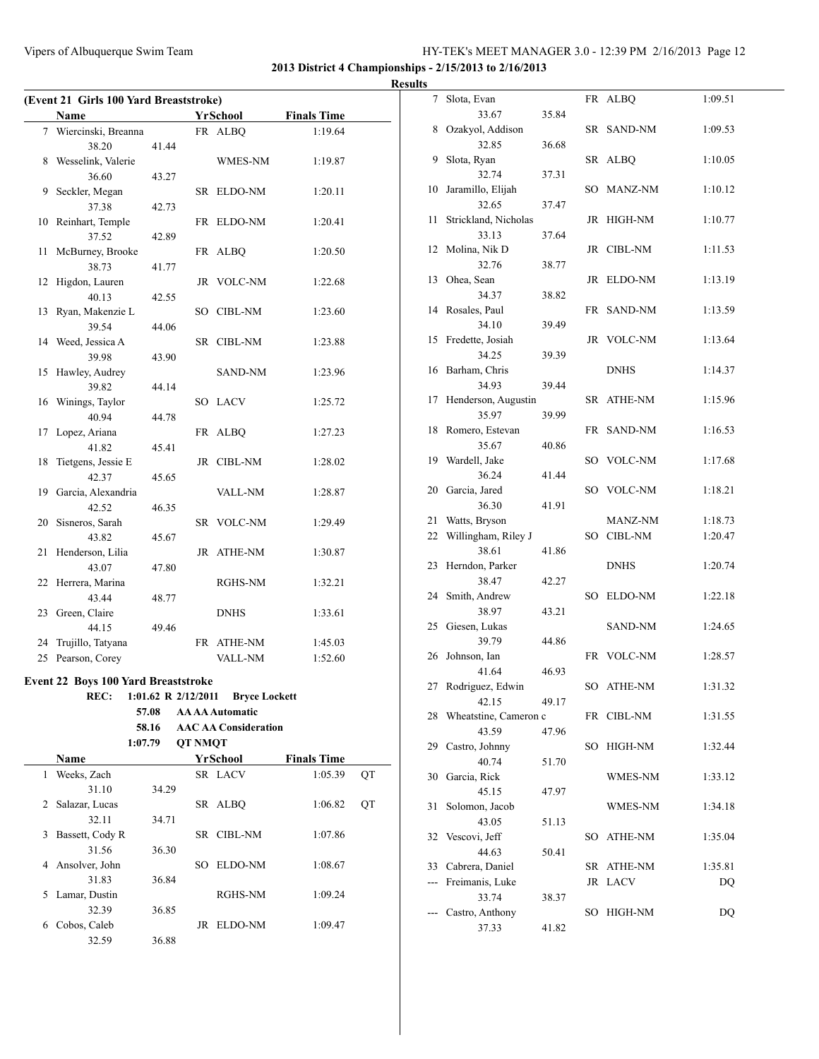**2013 District 4 Championships - 2/15/2013 to 2/16/2013**

|    | (Event 21 Girls 100 Yard Breaststroke)     |       |                     |                             |                    |    |
|----|--------------------------------------------|-------|---------------------|-----------------------------|--------------------|----|
|    | Name                                       |       |                     | YrSchool                    | <b>Finals Time</b> |    |
|    | 7 Wiercinski, Breanna                      |       |                     | FR ALBQ                     | 1:19.64            |    |
|    | 38.20                                      | 41.44 |                     |                             |                    |    |
|    | 8 Wesselink, Valerie                       |       |                     | WMES-NM                     | 1:19.87            |    |
|    | 36.60                                      | 43.27 |                     |                             |                    |    |
| 9  | Seckler, Megan                             |       |                     | SR ELDO-NM                  | 1:20.11            |    |
|    | 37.38                                      | 42.73 |                     |                             |                    |    |
|    | 10 Reinhart, Temple                        |       |                     | FR ELDO-NM                  | 1:20.41            |    |
|    | 37.52                                      | 42.89 |                     |                             |                    |    |
| 11 | McBurney, Brooke                           |       |                     | FR ALBQ                     | 1:20.50            |    |
|    | 38.73                                      | 41.77 |                     |                             |                    |    |
|    | 12 Higdon, Lauren                          |       |                     | JR VOLC-NM                  | 1:22.68            |    |
|    | 40.13                                      | 42.55 |                     |                             |                    |    |
| 13 | Ryan, Makenzie L                           |       |                     | SO CIBL-NM                  | 1:23.60            |    |
|    | 39.54                                      | 44.06 |                     |                             |                    |    |
|    | 14 Weed, Jessica A                         |       |                     | SR CIBL-NM                  | 1:23.88            |    |
|    | 39.98                                      | 43.90 |                     |                             |                    |    |
| 15 | Hawley, Audrey                             |       |                     | <b>SAND-NM</b>              | 1:23.96            |    |
|    | 39.82                                      | 44.14 |                     |                             |                    |    |
|    | 16 Winings, Taylor                         |       |                     | SO LACV                     | 1:25.72            |    |
|    | 40.94                                      | 44.78 |                     |                             |                    |    |
| 17 | Lopez, Ariana                              |       |                     | FR ALBQ                     | 1:27.23            |    |
|    | 41.82                                      | 45.41 |                     |                             |                    |    |
| 18 | Tietgens, Jessie E                         |       |                     | JR CIBL-NM                  | 1:28.02            |    |
|    | 42.37                                      | 45.65 |                     |                             |                    |    |
|    | 19 Garcia, Alexandria                      |       |                     | VALL-NM                     | 1:28.87            |    |
|    | 42.52                                      | 46.35 |                     |                             |                    |    |
|    | 20 Sisneros, Sarah                         |       |                     | SR VOLC-NM                  | 1:29.49            |    |
|    | 43.82                                      | 45.67 |                     |                             |                    |    |
| 21 | Henderson, Lilia                           |       |                     | JR ATHE-NM                  | 1:30.87            |    |
|    | 43.07                                      | 47.80 |                     |                             |                    |    |
|    | 22 Herrera, Marina                         |       |                     | RGHS-NM                     | 1:32.21            |    |
|    | 43.44                                      | 48.77 |                     |                             |                    |    |
|    | 23 Green, Claire                           |       |                     | <b>DNHS</b>                 | 1:33.61            |    |
|    | 44.15                                      | 49.46 |                     |                             |                    |    |
| 24 | Trujillo, Tatyana                          |       |                     | FR ATHE-NM                  | 1:45.03            |    |
| 25 | Pearson, Corey                             |       |                     | VALL-NM                     | 1:52.60            |    |
|    |                                            |       |                     |                             |                    |    |
|    | <b>Event 22 Boys 100 Yard Breaststroke</b> |       |                     |                             |                    |    |
|    | REC:                                       |       | 1:01.62 R 2/12/2011 | <b>Bryce Lockett</b>        |                    |    |
|    |                                            | 57.08 |                     | <b>AA AA Automatic</b>      |                    |    |
|    |                                            | 58.16 |                     | <b>AAC AA Consideration</b> |                    |    |
|    | 1:07.79                                    |       | <b>QT NMQT</b>      |                             |                    |    |
|    | Name                                       |       |                     | <b>YrSchool</b>             | <b>Finals Time</b> |    |
| 1  | Weeks, Zach                                |       |                     | SR LACV                     | 1:05.39            | QT |
|    | 31.10                                      | 34.29 |                     |                             |                    |    |
| 2  | Salazar, Lucas                             |       |                     | SR ALBQ                     | 1:06.82            | QT |
|    | 32.11                                      | 34.71 |                     |                             |                    |    |
| 3  | Bassett, Cody R                            |       |                     | SR CIBL-NM                  | 1:07.86            |    |
|    | 31.56                                      | 36.30 |                     |                             |                    |    |
|    | 4 Ansolver, John                           |       |                     | SO ELDO-NM                  | 1:08.67            |    |

31.83 36.84

32.39 36.85

32.59 36.88

5 Lamar, Dustin RGHS-NM 1:09.24

6 Cobos, Caleb JR ELDO-NM 1:09.47

| <b>Results</b> |                          |       |             |         |
|----------------|--------------------------|-------|-------------|---------|
|                | 7 Slota, Evan            |       | FR ALBQ     | 1:09.51 |
|                | 33.67                    | 35.84 |             |         |
|                | 8 Ozakyol, Addison       |       | SR SAND-NM  | 1:09.53 |
|                | 32.85                    | 36.68 |             |         |
|                | 9 Slota, Ryan            |       | SR ALBQ     | 1:10.05 |
|                | 32.74                    | 37.31 |             |         |
|                | 10 Jaramillo, Elijah     |       | SO MANZ-NM  | 1:10.12 |
|                | 32.65                    | 37.47 |             |         |
|                | 11 Strickland, Nicholas  |       | JR HIGH-NM  | 1:10.77 |
|                | 33.13                    | 37.64 |             |         |
|                | 12 Molina, Nik D         |       | JR CIBL-NM  | 1:11.53 |
|                | 32.76                    | 38.77 |             |         |
|                | 13 Ohea, Sean            |       | JR ELDO-NM  | 1:13.19 |
|                | 34.37                    | 38.82 |             |         |
|                | 14 Rosales, Paul         |       | FR SAND-NM  | 1:13.59 |
|                | 34.10                    | 39.49 |             |         |
|                | 15 Fredette, Josiah      |       | JR VOLC-NM  | 1:13.64 |
|                | 34.25                    | 39.39 |             |         |
|                | 16 Barham, Chris         |       | <b>DNHS</b> | 1:14.37 |
|                | 34.93                    | 39.44 |             |         |
|                | 17 Henderson, Augustin   |       | SR ATHE-NM  | 1:15.96 |
|                | 35.97                    | 39.99 |             |         |
|                | 18 Romero, Estevan       |       | FR SAND-NM  | 1:16.53 |
|                | 35.67                    | 40.86 |             |         |
|                | 19 Wardell, Jake         |       | SO VOLC-NM  | 1:17.68 |
|                | 36.24                    | 41.44 |             |         |
|                | 20 Garcia, Jared         |       | SO VOLC-NM  | 1:18.21 |
|                | 36.30                    | 41.91 |             |         |
|                | 21 Watts, Bryson         |       | MANZ-NM     | 1:18.73 |
|                | 22 Willingham, Riley J   |       | SO CIBL-NM  | 1:20.47 |
|                | 38.61                    | 41.86 |             |         |
|                | 23 Herndon, Parker       |       | <b>DNHS</b> | 1:20.74 |
|                | 38.47                    | 42.27 |             |         |
|                | 24 Smith, Andrew         |       | SO ELDO-NM  | 1:22.18 |
|                | 38.97                    | 43.21 |             |         |
|                | 25 Giesen, Lukas         |       | SAND-NM     | 1:24.65 |
|                | 39.79                    | 44.86 |             |         |
|                | 26 Johnson, Ian          |       | FR VOLC-NM  | 1:28.57 |
|                | 41.64                    | 46.93 |             |         |
|                | 27 Rodriguez, Edwin      |       | SO ATHE-NM  | 1:31.32 |
|                | 42.15                    | 49.17 |             |         |
|                | 28 Wheatstine, Cameron c |       | FR CIBL-NM  | 1:31.55 |
|                | 43.59                    | 47.96 |             |         |
|                | 29 Castro, Johnny        |       | SO HIGH-NM  | 1:32.44 |
|                | 40.74                    | 51.70 |             |         |
|                | 30 Garcia, Rick          |       | WMES-NM     | 1:33.12 |
|                | 45.15                    | 47.97 |             |         |
| 31             | Solomon, Jacob           |       | WMES-NM     | 1:34.18 |
|                | 43.05                    | 51.13 |             |         |
|                | 32 Vescovi, Jeff         |       | SO ATHE-NM  | 1:35.04 |
|                | 44.63                    | 50.41 |             |         |
| 33             | Cabrera, Daniel          |       | SR ATHE-NM  | 1:35.81 |
|                | --- Freimanis, Luke      |       | JR LACV     | DQ      |
|                | 33.74                    | 38.37 |             |         |
| ---            | Castro, Anthony          |       | SO HIGH-NM  | DQ      |
|                | 37.33                    | 41.82 |             |         |
|                |                          |       |             |         |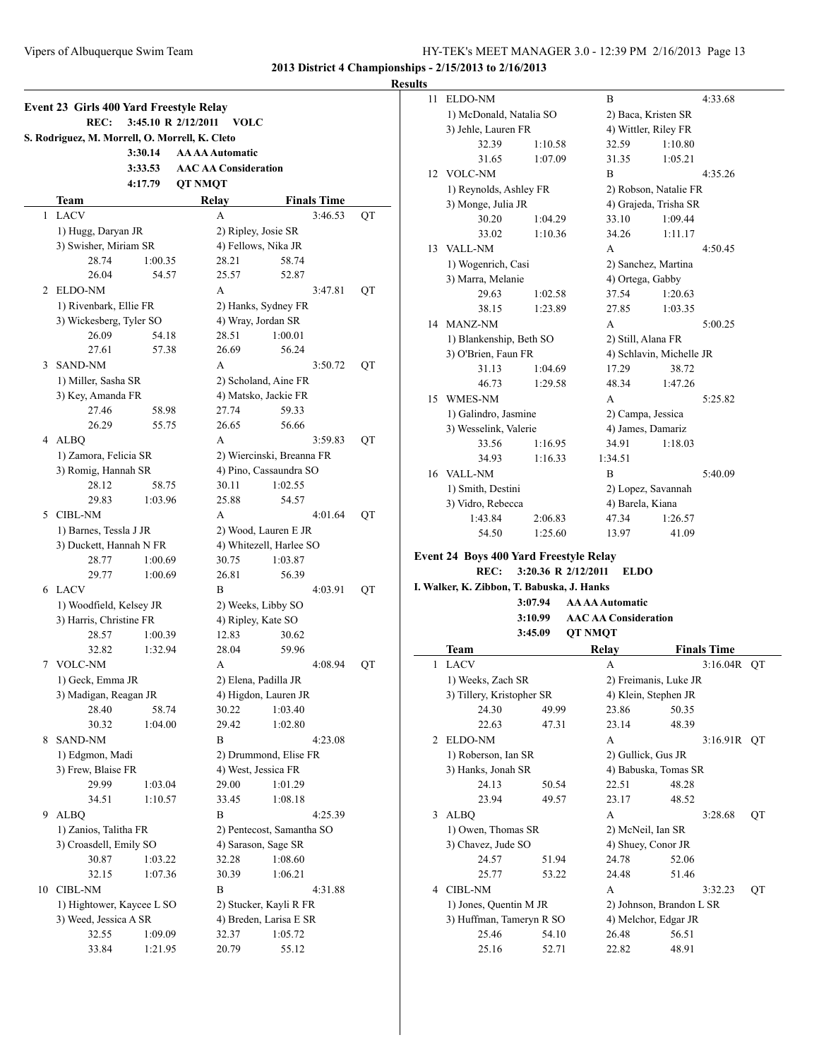**Results**

|    | S. Rodriguez, M. Morrell, O. Morrell, K. Cleto |         |                           |                             |                         |    |  |
|----|------------------------------------------------|---------|---------------------------|-----------------------------|-------------------------|----|--|
|    |                                                | 3:30.14 |                           | <b>AA AA Automatic</b>      |                         |    |  |
|    |                                                | 3:33.53 |                           | <b>AAC AA Consideration</b> |                         |    |  |
|    |                                                | 4:17.79 | <b>QT NMQT</b>            |                             |                         |    |  |
|    | Team                                           |         |                           | Relay                       | <b>Finals Time</b>      |    |  |
| 1  | <b>LACV</b>                                    |         |                           | A                           | 3:46.53                 | QT |  |
|    | 1) Hugg, Daryan JR                             |         |                           |                             | 2) Ripley, Josie SR     |    |  |
|    | 3) Swisher, Miriam SR                          |         |                           |                             | 4) Fellows, Nika JR     |    |  |
|    | 28.74                                          | 1:00.35 |                           | 28.21                       | 58.74                   |    |  |
|    | 26.04                                          | 54.57   |                           | 25.57                       | 52.87                   |    |  |
|    | 2 ELDO-NM                                      |         |                           | A                           | 3:47.81                 | QT |  |
|    | 1) Rivenbark, Ellie FR                         |         | 2) Hanks, Sydney FR       |                             |                         |    |  |
|    | 3) Wickesberg, Tyler SO                        |         |                           |                             | 4) Wray, Jordan SR      |    |  |
|    | 26.09                                          | 54.18   |                           | 28.51                       | 1:00.01                 |    |  |
|    | 27.61                                          | 57.38   |                           | 26.69                       | 56.24                   |    |  |
| 3  | <b>SAND-NM</b>                                 |         |                           | A                           | 3:50.72                 | QT |  |
|    | 1) Miller, Sasha SR                            |         |                           |                             | 2) Scholand, Aine FR    |    |  |
|    | 3) Key, Amanda FR                              |         |                           |                             | 4) Matsko, Jackie FR    |    |  |
|    | 27.46                                          | 58.98   |                           | 27.74                       | 59.33                   |    |  |
|    | 26.29                                          | 55.75   |                           | 26.65                       | 56.66                   |    |  |
| 4  | <b>ALBO</b>                                    |         |                           | A                           | 3:59.83                 | QT |  |
|    | 1) Zamora, Felicia SR                          |         | 2) Wiercinski, Breanna FR |                             |                         |    |  |
|    | 3) Romig, Hannah SR                            |         |                           |                             | 4) Pino, Cassaundra SO  |    |  |
|    | 28.12                                          | 58.75   |                           | 30.11                       | 1:02.55                 |    |  |
|    | 29.83                                          | 1:03.96 |                           | 25.88                       | 54.57                   |    |  |
|    | 5 CIBL-NM                                      |         |                           | A                           | 4:01.64                 | QT |  |
|    | 1) Barnes, Tessla J JR                         |         |                           | 2) Wood, Lauren E JR        |                         |    |  |
|    | 3) Duckett, Hannah N FR                        |         |                           |                             | 4) Whitezell, Harlee SO |    |  |
|    | 28.77                                          | 1:00.69 |                           | 30.75                       | 1:03.87                 |    |  |
|    | 29.77                                          | 1:00.69 |                           | 26.81                       | 56.39                   |    |  |
| 6  | <b>LACV</b>                                    |         |                           | B                           | 4:03.91                 | QT |  |
|    | 1) Woodfield, Kelsey JR                        |         |                           | 2) Weeks, Libby SO          |                         |    |  |
|    | 3) Harris, Christine FR                        |         |                           |                             | 4) Ripley, Kate SO      |    |  |
|    | 28.57                                          | 1:00.39 |                           | 12.83                       | 30.62                   |    |  |
|    | 32.82                                          | 1:32.94 |                           | 28.04                       | 59.96                   |    |  |
| 7  | <b>VOLC-NM</b>                                 |         |                           | A                           | 4:08.94                 | QT |  |
|    | 1) Geck, Emma JR                               |         |                           | 2) Elena, Padilla JR        |                         |    |  |
|    | 3) Madigan, Reagan JR                          |         |                           |                             | 4) Higdon, Lauren JR    |    |  |
|    | 28.40                                          | 58.74   |                           | 30.22                       | 1:03.40                 |    |  |
|    | 30.32                                          | 1:04.00 |                           | 29.42                       | 1:02.80                 |    |  |
| 8  | SAND-NM                                        |         |                           | B                           | 4:23.08                 |    |  |
|    | 1) Edgmon, Madi                                |         |                           |                             | 2) Drummond, Elise FR   |    |  |
|    | 3) Frew, Blaise FR                             |         |                           |                             | 4) West, Jessica FR     |    |  |
|    | 29.99                                          | 1:03.04 |                           | 29.00                       | 1:01.29                 |    |  |
|    | 34.51                                          | 1:10.57 |                           | 33.45                       | 1:08.18                 |    |  |
| 9  | <b>ALBQ</b>                                    |         |                           | B                           | 4:25.39                 |    |  |
|    | 1) Zanios, Talitha FR                          |         |                           | 2) Pentecost, Samantha SO   |                         |    |  |
|    | 3) Croasdell, Emily SO                         |         |                           |                             | 4) Sarason, Sage SR     |    |  |
|    | 30.87                                          | 1:03.22 |                           | 32.28                       | 1:08.60                 |    |  |
|    | 32.15                                          | 1:07.36 |                           | 30.39                       | 1:06.21                 |    |  |
| 10 | <b>CIBL-NM</b>                                 |         |                           | B                           | 4:31.88                 |    |  |
|    | 1) Hightower, Kaycee L SO                      |         | 2) Stucker, Kayli R FR    |                             |                         |    |  |
|    | 3) Weed, Jessica A SR                          |         |                           |                             | 4) Breden, Larisa E SR  |    |  |
|    | 32.55                                          | 1:09.09 |                           | 32.37                       | 1:05.72                 |    |  |
|    | 33.84                                          | 1:21.95 |                           | 20.79                       | 55.12                   |    |  |

| lts |                                               |         |                     |                             |                          |                    |    |
|-----|-----------------------------------------------|---------|---------------------|-----------------------------|--------------------------|--------------------|----|
| 11  | ELDO-NM                                       |         |                     | B                           |                          | 4:33.68            |    |
|     | 1) McDonald, Natalia SO                       |         |                     | 2) Baca, Kristen SR         |                          |                    |    |
|     | 3) Jehle, Lauren FR                           |         |                     | 4) Wittler, Riley FR        |                          |                    |    |
|     | 32.39                                         | 1:10.58 |                     | 32.59                       | 1:10.80                  |                    |    |
|     | 31.65                                         | 1:07.09 |                     | 31.35                       | 1:05.21                  |                    |    |
|     | 12 VOLC-NM                                    |         |                     | B                           |                          | 4:35.26            |    |
|     | 1) Reynolds, Ashley FR                        |         |                     |                             | 2) Robson, Natalie FR    |                    |    |
|     | 3) Monge, Julia JR                            |         |                     |                             | 4) Grajeda, Trisha SR    |                    |    |
|     | 30.20                                         | 1:04.29 |                     | 33.10                       | 1:09.44                  |                    |    |
|     | 33.02                                         | 1:10.36 |                     | 34.26                       | 1:11.17                  |                    |    |
| 13  | <b>VALL-NM</b>                                |         |                     | A                           |                          | 4:50.45            |    |
|     | 1) Wogenrich, Casi                            |         |                     | 2) Sanchez, Martina         |                          |                    |    |
|     | 3) Marra, Melanie                             |         |                     | 4) Ortega, Gabby            |                          |                    |    |
|     | 29.63                                         | 1:02.58 |                     | 37.54                       | 1:20.63                  |                    |    |
|     | 38.15                                         | 1:23.89 |                     | 27.85                       | 1:03.35                  |                    |    |
|     | 14 MANZ-NM                                    |         |                     | A                           |                          | 5:00.25            |    |
|     | 1) Blankenship, Beth SO                       |         |                     | 2) Still, Alana FR          |                          |                    |    |
|     | 3) O'Brien, Faun FR                           |         |                     |                             | 4) Schlavin, Michelle JR |                    |    |
|     | 31.13                                         | 1:04.69 |                     | 17.29                       | 38.72                    |                    |    |
|     | 46.73                                         | 1:29.58 |                     | 48.34                       | 1:47.26                  |                    |    |
|     | 15 WMES-NM                                    |         |                     | A                           |                          | 5:25.82            |    |
|     | 1) Galindro, Jasmine                          |         |                     | 2) Campa, Jessica           |                          |                    |    |
|     | 3) Wesselink, Valerie                         |         |                     | 4) James, Damariz           |                          |                    |    |
|     |                                               |         |                     |                             |                          |                    |    |
|     | 33.56                                         | 1:16.95 |                     | 34.91                       | 1:18.03                  |                    |    |
|     | 34.93                                         | 1:16.33 |                     | 1:34.51                     |                          |                    |    |
|     | 16 VALL-NM                                    |         |                     | B                           |                          | 5:40.09            |    |
|     | 1) Smith, Destini                             |         |                     | 2) Lopez, Savannah          |                          |                    |    |
|     | 3) Vidro, Rebecca                             |         |                     | 4) Barela, Kiana            |                          |                    |    |
|     | 1:43.84                                       | 2:06.83 |                     | 47.34                       | 1:26.57                  |                    |    |
|     | 54.50                                         | 1:25.60 |                     | 13.97                       | 41.09                    |                    |    |
|     | <b>Event 24 Boys 400 Yard Freestyle Relay</b> |         |                     |                             |                          |                    |    |
|     | <b>REC:</b>                                   |         | 3:20.36 R 2/12/2011 | <b>ELDO</b>                 |                          |                    |    |
|     | I. Walker, K. Zibbon, T. Babuska, J. Hanks    |         |                     |                             |                          |                    |    |
|     |                                               | 3:07.94 |                     | <b>AA AA Automatic</b>      |                          |                    |    |
|     |                                               | 3:10.99 |                     | <b>AAC AA Consideration</b> |                          |                    |    |
|     |                                               | 3:45.09 | <b>QT NMQT</b>      |                             |                          |                    |    |
|     | Team                                          |         |                     | Relay                       |                          | <b>Finals Time</b> |    |
| 1   | LACV                                          |         |                     | A                           |                          | 3:16.04R           | QT |
|     | 1) Weeks, Zach SR                             |         |                     |                             | 2) Freimanis, Luke JR    |                    |    |
|     | 3) Tillery, Kristopher SR                     |         |                     |                             | 4) Klein, Stephen JR     |                    |    |
|     | 24.30                                         | 49.99   |                     | 23.86                       | 50.35                    |                    |    |
|     | 22.63                                         | 47.31   |                     | 23.14                       | 48.39                    |                    |    |
|     |                                               |         |                     | A                           |                          |                    |    |
| 2   | ELDO-NM                                       |         |                     |                             |                          | 3:16.91R           | QT |
|     | 1) Roberson, Ian SR                           |         |                     | 2) Gullick, Gus JR          |                          |                    |    |
|     | 3) Hanks, Jonah SR                            |         |                     |                             | 4) Babuska, Tomas SR     |                    |    |
|     | 24.13                                         | 50.54   |                     | 22.51                       | 48.28                    |                    |    |
|     | 23.94                                         | 49.57   |                     | 23.17                       | 48.52                    |                    |    |
| 3   | <b>ALBQ</b>                                   |         |                     | А                           |                          | 3:28.68            | QT |
|     | 1) Owen, Thomas SR                            |         |                     | 2) McNeil, Ian SR           |                          |                    |    |
|     | 3) Chavez, Jude SO                            |         |                     | 4) Shuey, Conor JR          |                          |                    |    |
|     | 24.57                                         | 51.94   |                     | 24.78                       | 52.06                    |                    |    |
|     | 25.77                                         | 53.22   |                     | 24.48                       | 51.46                    |                    |    |
|     |                                               |         |                     |                             |                          |                    | QT |
| 4   | <b>CIBL-NM</b>                                |         |                     | А                           |                          | 3:32.23            |    |
|     | 1) Jones, Quentin M JR                        |         |                     |                             | 2) Johnson, Brandon L SR |                    |    |
|     | 3) Huffman, Tameryn R SO                      |         |                     |                             | 4) Melchor, Edgar JR     |                    |    |
|     | 25.46                                         | 54.10   |                     | 26.48                       | 56.51                    |                    |    |